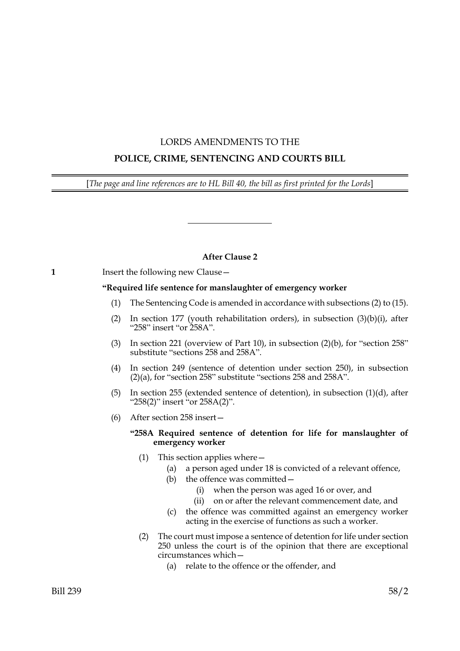# LORDS AMENDMENTS TO THE

# **POLICE, CRIME, SENTENCING AND COURTS BILL**

[*The page and line references are to HL Bill 40, the bill as first printed for the Lords*]

# **After Clause 2**

# **1** Insert the following new Clause —

# **"Required life sentence for manslaughter of emergency worker**

- (1) The Sentencing Code is amended in accordance with subsections [\(2\)](#page-0-0) to [\(15\).](#page-3-0)
- <span id="page-0-0"></span>(2) In section 177 (youth rehabilitation orders), in subsection  $(3)(b)(i)$ , after "258" insert "or 258A".
- (3) In section 221 (overview of Part 10), in subsection (2)(b), for "section 258" substitute "sections 258 and 258A".
- (4) In section 249 (sentence of detention under section 250), in subsection (2)(a), for "section 258" substitute "sections 258 and 258A".
- (5) In section 255 (extended sentence of detention), in subsection (1)(d), after "258(2)" insert "or 258A(2)".
- (6) After section 258 insert—

# **"258A Required sentence of detention for life for manslaughter of emergency worker**

- <span id="page-0-2"></span>(1) This section applies where—
	- (a) a person aged under 18 is convicted of a relevant offence,
	- (b) the offence was committed—
		- (i) when the person was aged 16 or over, and
		- (ii) on or after the relevant commencement date, and
	- (c) the offence was committed against an emergency worker acting in the exercise of functions as such a worker.
- <span id="page-0-1"></span>(2) The court must impose a sentence of detention for life under section 250 unless the court is of the opinion that there are exceptional circumstances which—
	- (a) relate to the offence or the offender, and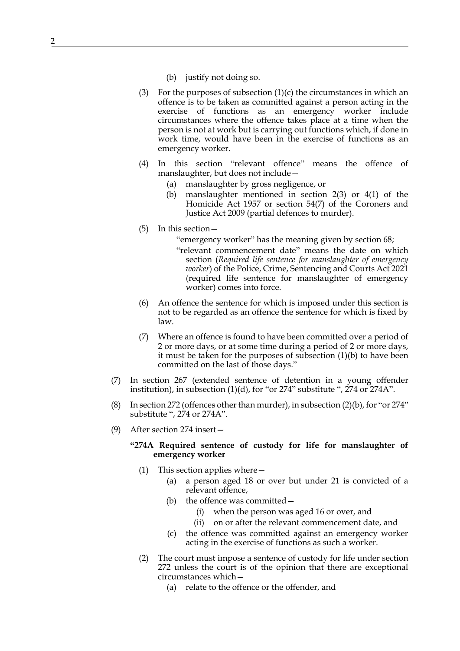- (b) justify not doing so.
- (3) For the purposes of subsection  $(1)(c)$  the circumstances in which an offence is to be taken as committed against a person acting in the exercise of functions as an emergency worker include circumstances where the offence takes place at a time when the person is not at work but is carrying out functions which, if done in work time, would have been in the exercise of functions as an emergency worker.
- (4) In this section "relevant offence" means the offence of manslaughter, but does not include—
	- (a) manslaughter by gross negligence, or
	- (b) manslaughter mentioned in section 2(3) or 4(1) of the Homicide Act 1957 or section 54(7) of the Coroners and Justice Act 2009 (partial defences to murder).
- (5) In this section—

"emergency worker" has the meaning given by section 68;

"relevant commencement date" means the date on which section (*Required life sentence for manslaughter of emergency worker*) of the Police, Crime, Sentencing and Courts Act 2021 (required life sentence for manslaughter of emergency worker) comes into force.

- (6) An offence the sentence for which is imposed under this section is not to be regarded as an offence the sentence for which is fixed by law.
- (7) Where an offence is found to have been committed over a period of 2 or more days, or at some time during a period of 2 or more days, it must be taken for the purposes of subsection [\(1\)\(b\)](#page-0-2) to have been committed on the last of those days."
- (7) In section 267 (extended sentence of detention in a young offender institution), in subsection (1)(d), for "or 274" substitute ", 274 or 274A".
- (8) In section 272 (offences other than murder), in subsection (2)(b), for "or 274" substitute ", 274 or 274A".
- (9) After section 274 insert—

# **"274A Required sentence of custody for life for manslaughter of emergency worker**

- <span id="page-1-1"></span>(1) This section applies where—
	- (a) a person aged 18 or over but under 21 is convicted of a relevant offence,
	- (b) the offence was committed—
		- (i) when the person was aged 16 or over, and
		- (ii) on or after the relevant commencement date, and
	- (c) the offence was committed against an emergency worker acting in the exercise of functions as such a worker.
- <span id="page-1-0"></span>(2) The court must impose a sentence of custody for life under section 272 unless the court is of the opinion that there are exceptional circumstances which—
	- (a) relate to the offence or the offender, and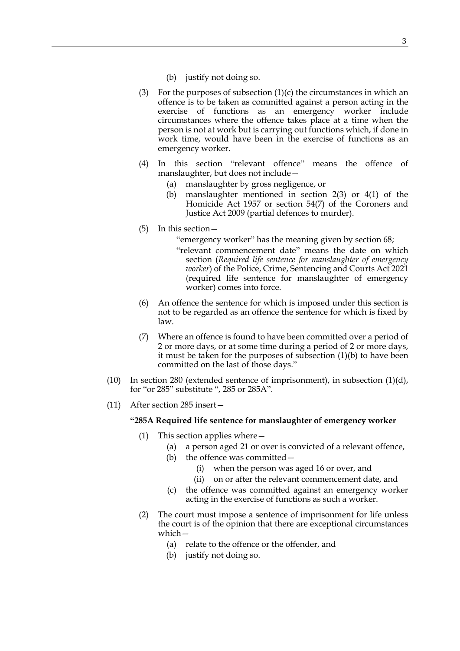- (b) justify not doing so.
- (3) For the purposes of subsection  $(1)(c)$  the circumstances in which an offence is to be taken as committed against a person acting in the exercise of functions as an emergency worker include circumstances where the offence takes place at a time when the person is not at work but is carrying out functions which, if done in work time, would have been in the exercise of functions as an emergency worker.
- (4) In this section "relevant offence" means the offence of manslaughter, but does not include—
	- (a) manslaughter by gross negligence, or
	- (b) manslaughter mentioned in section 2(3) or 4(1) of the Homicide Act 1957 or section 54(7) of the Coroners and Justice Act 2009 (partial defences to murder).
- (5) In this section—

"emergency worker" has the meaning given by section 68;

"relevant commencement date" means the date on which section (*Required life sentence for manslaughter of emergency worker*) of the Police, Crime, Sentencing and Courts Act 2021 (required life sentence for manslaughter of emergency worker) comes into force.

- (6) An offence the sentence for which is imposed under this section is not to be regarded as an offence the sentence for which is fixed by law.
- (7) Where an offence is found to have been committed over a period of 2 or more days, or at some time during a period of 2 or more days, it must be taken for the purposes of subsection [\(1\)\(b\)](#page-1-1) to have been committed on the last of those days."
- (10) In section 280 (extended sentence of imprisonment), in subsection  $(1)(d)$ , for "or 285" substitute ", 285 or 285A".
- <span id="page-2-1"></span>(11) After section 285 insert—

# **"285A Required life sentence for manslaughter of emergency worker**

- <span id="page-2-0"></span>(1) This section applies where—
	- (a) a person aged 21 or over is convicted of a relevant offence,
	- (b) the offence was committed—
		- (i) when the person was aged 16 or over, and
		- (ii) on or after the relevant commencement date, and
	- (c) the offence was committed against an emergency worker acting in the exercise of functions as such a worker.
- (2) The court must impose a sentence of imprisonment for life unless the court is of the opinion that there are exceptional circumstances which—
	- (a) relate to the offence or the offender, and
	- (b) justify not doing so.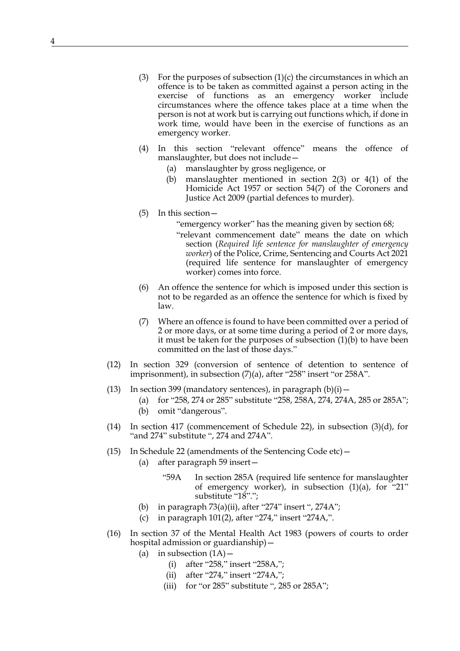- (3) For the purposes of subsection  $(1)(c)$  the circumstances in which an offence is to be taken as committed against a person acting in the exercise of functions as an emergency worker include circumstances where the offence takes place at a time when the person is not at work but is carrying out functions which, if done in work time, would have been in the exercise of functions as an emergency worker.
- (4) In this section "relevant offence" means the offence of manslaughter, but does not include—
	- (a) manslaughter by gross negligence, or
	- (b) manslaughter mentioned in section 2(3) or 4(1) of the Homicide Act 1957 or section 54(7) of the Coroners and Justice Act 2009 (partial defences to murder).
- (5) In this section—
	- "emergency worker" has the meaning given by section 68;
	- "relevant commencement date" means the date on which section (*Required life sentence for manslaughter of emergency worker*) of the Police, Crime, Sentencing and Courts Act 2021 (required life sentence for manslaughter of emergency worker) comes into force.
- (6) An offence the sentence for which is imposed under this section is not to be regarded as an offence the sentence for which is fixed by law.
- (7) Where an offence is found to have been committed over a period of 2 or more days, or at some time during a period of 2 or more days, it must be taken for the purposes of subsection [\(1\)\(b\)](#page-2-0) to have been committed on the last of those days."
- (12) In section 329 (conversion of sentence of detention to sentence of imprisonment), in subsection (7)(a), after "258" insert "or 258A".
- (13) In section 399 (mandatory sentences), in paragraph  $(b)(i)$  -
	- (a) for "258, 274 or 285" substitute "258, 258A, 274, 274A, 285 or 285A";
	- (b) omit "dangerous".
- (14) In section 417 (commencement of Schedule 22), in subsection (3)(d), for "and 274" substitute ", 274 and 274A".
- <span id="page-3-0"></span>(15) In Schedule 22 (amendments of the Sentencing Code etc)—
	- (a) after paragraph 59 insert—
		- "59A In section [285A](#page-2-1) (required life sentence for manslaughter of emergency worker), in subsection  $(1)(a)$ , for "21" substitute "18".";
	- (b) in paragraph  $73(a)(ii)$ , after "274" insert ", 274A";
	- (c) in paragraph 101(2), after "274," insert "274A,".
- (16) In section 37 of the Mental Health Act 1983 (powers of courts to order hospital admission or guardianship)—
	- (a) in subsection  $(1A)$ 
		- (i) after "258," insert "258A,";
		- (ii) after "274," insert "274A,";
		- (iii) for "or  $285$ " substitute ",  $285$  or  $285A$ ";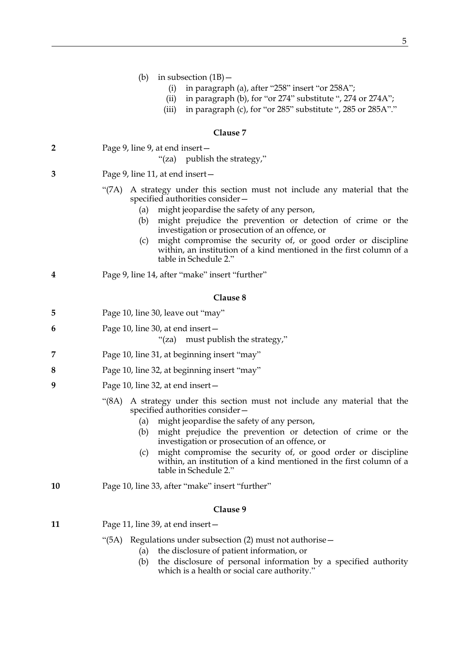|  | (b) | in subsection (1B) - |  |  |  |
|--|-----|----------------------|--|--|--|
|--|-----|----------------------|--|--|--|

- (i) in paragraph (a), after "258" insert "or 258A";
- (ii) in paragraph (b), for "or 274" substitute ", 274 or 274A";
- (iii) in paragraph (c), for "or 285" substitute ", 285 or 285A"."

|                         | Clause 7                                                                                                                                                                                                                                                                                                                                                                                                                                                               |  |  |
|-------------------------|------------------------------------------------------------------------------------------------------------------------------------------------------------------------------------------------------------------------------------------------------------------------------------------------------------------------------------------------------------------------------------------------------------------------------------------------------------------------|--|--|
| $\overline{\mathbf{2}}$ | Page 9, line 9, at end insert -<br>"(za) publish the strategy,"                                                                                                                                                                                                                                                                                                                                                                                                        |  |  |
| 3                       | Page 9, line 11, at end insert –                                                                                                                                                                                                                                                                                                                                                                                                                                       |  |  |
|                         | A strategy under this section must not include any material that the<br>"(7A)<br>specified authorities consider –<br>might jeopardise the safety of any person,<br>(a)<br>might prejudice the prevention or detection of crime or the<br>(b)<br>investigation or prosecution of an offence, or<br>might compromise the security of, or good order or discipline<br>(c)<br>within, an institution of a kind mentioned in the first column of a<br>table in Schedule 2." |  |  |
| 4                       | Page 9, line 14, after "make" insert "further"                                                                                                                                                                                                                                                                                                                                                                                                                         |  |  |
|                         | Clause 8                                                                                                                                                                                                                                                                                                                                                                                                                                                               |  |  |
| 5                       | Page 10, line 30, leave out "may"                                                                                                                                                                                                                                                                                                                                                                                                                                      |  |  |
| 6                       | Page 10, line 30, at end insert-<br>"(za) must publish the strategy,"                                                                                                                                                                                                                                                                                                                                                                                                  |  |  |
| 7                       | Page 10, line 31, at beginning insert "may"                                                                                                                                                                                                                                                                                                                                                                                                                            |  |  |
| 8                       | Page 10, line 32, at beginning insert "may"                                                                                                                                                                                                                                                                                                                                                                                                                            |  |  |
| 9                       | Page 10, line 32, at end insert –                                                                                                                                                                                                                                                                                                                                                                                                                                      |  |  |
|                         | "(8A)<br>A strategy under this section must not include any material that the<br>specified authorities consider -<br>might jeopardise the safety of any person,<br>(a)<br>might prejudice the prevention or detection of crime or the<br>(b)<br>investigation or prosecution of an offence, or<br>might compromise the security of, or good order or discipline<br>(c)<br>within, an institution of a kind mentioned in the first column of a<br>table in Schedule 2." |  |  |
| 10                      | Page 10, line 33, after "make" insert "further"                                                                                                                                                                                                                                                                                                                                                                                                                        |  |  |
|                         | Clause 9                                                                                                                                                                                                                                                                                                                                                                                                                                                               |  |  |
| 11                      | Page 11, line 39, at end insert -                                                                                                                                                                                                                                                                                                                                                                                                                                      |  |  |
|                         | Regulations under subsection (2) must not authorise -<br>(5A)<br>the disclosure of patient information, or<br>(a)<br>the disclosure of personal information by a specified authority<br>(b)<br>which is a health or social care authority."                                                                                                                                                                                                                            |  |  |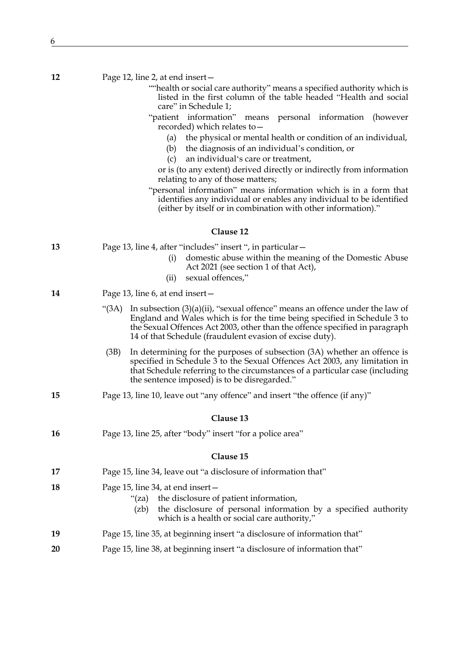|  | 12 | Page 12, line 2, at end insert $-$ |
|--|----|------------------------------------|
|--|----|------------------------------------|

- ""health or social care authority" means a specified authority which is listed in the first column of the table headed "Health and social care" in Schedule 1;
- "patient information" means personal information (however recorded) which relates to—
	- (a) the physical or mental health or condition of an individual,
	- (b) the diagnosis of an individual's condition, or
	- (c) an individual's care or treatment,

or is (to any extent) derived directly or indirectly from information relating to any of those matters;

"personal information" means information which is in a form that identifies any individual or enables any individual to be identified (either by itself or in combination with other information)."

#### **Clause 12**

**13** Page 13, line 4, after "includes" insert ", in particular—

- (i) domestic abuse within the meaning of the Domestic Abuse Act 2021 (see section 1 of that Act),
- (ii) sexual offences,"
- **14** Page 13, line 6, at end insert—
	- "(3A) In subsection  $(3)(a)(ii)$ , "sexual offence" means an offence under the law of England and Wales which is for the time being specified in Schedule 3 to the Sexual Offences Act 2003, other than the offence specified in paragraph 14 of that Schedule (fraudulent evasion of excise duty).
	- (3B) In determining for the purposes of subsection (3A) whether an offence is specified in Schedule 3 to the Sexual Offences Act 2003, any limitation in that Schedule referring to the circumstances of a particular case (including the sentence imposed) is to be disregarded."
- **15** Page 13, line 10, leave out "any offence" and insert "the offence (if any)"

#### **Clause 13**

**16** Page 13, line 25, after "body" insert "for a police area"

| 17 | Page 15, line 34, leave out "a disclosure of information that" |
|----|----------------------------------------------------------------|
|----|----------------------------------------------------------------|

- **18** Page 15, line 34, at end insert—
	- "(za) the disclosure of patient information,
	- (zb) the disclosure of personal information by a specified authority which is a health or social care authority,"
- **19** Page 15, line 35, at beginning insert "a disclosure of information that"
- **20** Page 15, line 38, at beginning insert "a disclosure of information that"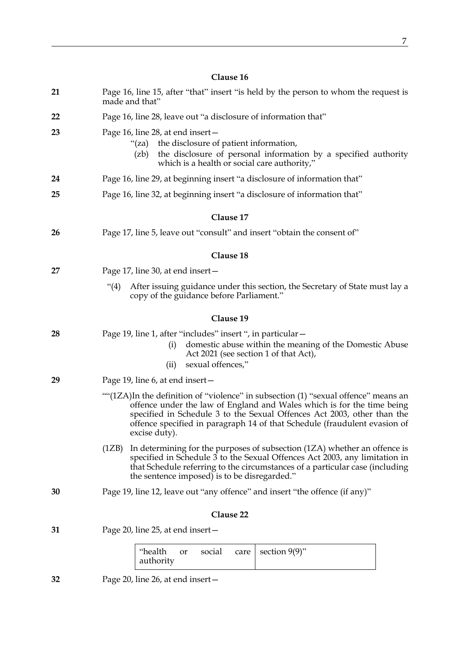| 21 | Page 16, line 15, after "that" insert "is held by the person to whom the request is<br>made and that"                                                                                                                                                                                                                                 |  |  |  |
|----|---------------------------------------------------------------------------------------------------------------------------------------------------------------------------------------------------------------------------------------------------------------------------------------------------------------------------------------|--|--|--|
| 22 | Page 16, line 28, leave out "a disclosure of information that"                                                                                                                                                                                                                                                                        |  |  |  |
| 23 | Page 16, line 28, at end insert $-$<br>"(za) the disclosure of patient information,<br>the disclosure of personal information by a specified authority<br>(zb)<br>which is a health or social care authority,"                                                                                                                        |  |  |  |
| 24 | Page 16, line 29, at beginning insert "a disclosure of information that"                                                                                                                                                                                                                                                              |  |  |  |
| 25 | Page 16, line 32, at beginning insert "a disclosure of information that"                                                                                                                                                                                                                                                              |  |  |  |
|    | Clause 17                                                                                                                                                                                                                                                                                                                             |  |  |  |
| 26 | Page 17, line 5, leave out "consult" and insert "obtain the consent of"                                                                                                                                                                                                                                                               |  |  |  |
|    | Clause 18                                                                                                                                                                                                                                                                                                                             |  |  |  |
| 27 | Page 17, line 30, at end insert -                                                                                                                                                                                                                                                                                                     |  |  |  |
|    | After issuing guidance under this section, the Secretary of State must lay a<br>" $(4)$<br>copy of the guidance before Parliament."                                                                                                                                                                                                   |  |  |  |
|    | Clause 19                                                                                                                                                                                                                                                                                                                             |  |  |  |
| 28 | Page 19, line 1, after "includes" insert ", in particular -<br>domestic abuse within the meaning of the Domestic Abuse<br>(i)<br>Act 2021 (see section 1 of that Act),<br>sexual offences,"<br>(ii)                                                                                                                                   |  |  |  |
| 29 | Page 19, line 6, at end insert -                                                                                                                                                                                                                                                                                                      |  |  |  |
|    | ""(1ZA)In the definition of "violence" in subsection (1) "sexual offence" means an<br>offence under the law of England and Wales which is for the time being<br>specified in Schedule 3 to the Sexual Offences Act 2003, other than the<br>offence specified in paragraph 14 of that Schedule (fraudulent evasion of<br>excise duty). |  |  |  |
|    | In determining for the purposes of subsection (1ZA) whether an offence is<br>(1ZB)<br>specified in Schedule 3 to the Sexual Offences Act 2003, any limitation in<br>that Schedule referring to the circumstances of a particular case (including<br>the sentence imposed) is to be disregarded."                                      |  |  |  |
| 30 | Page 19, line 12, leave out "any offence" and insert "the offence (if any)"                                                                                                                                                                                                                                                           |  |  |  |
|    | Clause 22                                                                                                                                                                                                                                                                                                                             |  |  |  |
| 31 | Page 20, line 25, at end insert –                                                                                                                                                                                                                                                                                                     |  |  |  |
|    | "health<br>section $9(9)$ "<br>social<br>or<br>care<br>authority                                                                                                                                                                                                                                                                      |  |  |  |

**32** Page 20, line 26, at end insert—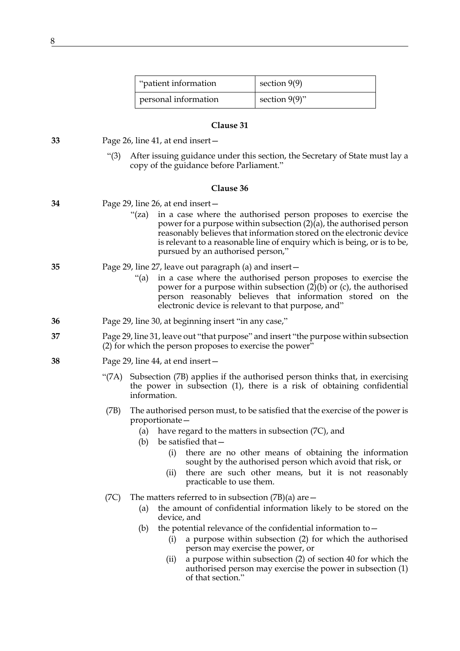| "patient information" | section $9(9)$   |
|-----------------------|------------------|
| personal information  | section $9(9)$ " |

**33** Page 26, line 41, at end insert—

"(3) After issuing guidance under this section, the Secretary of State must lay a copy of the guidance before Parliament."

#### **Clause 36**

| 34<br>Page 29, line 26, at end insert - |
|-----------------------------------------|
|-----------------------------------------|

"(za) in a case where the authorised person proposes to exercise the power for a purpose within subsection  $(2)(a)$ , the authorised person reasonably believes that information stored on the electronic device is relevant to a reasonable line of enquiry which is being, or is to be, pursued by an authorised person,"

# **35** Page 29, line 27, leave out paragraph (a) and insert—

- "(a) in a case where the authorised person proposes to exercise the power for a purpose within subsection (2)(b) or (c), the authorised person reasonably believes that information stored on the electronic device is relevant to that purpose, and"
- **36** Page 29, line 30, at beginning insert "in any case,"
- **37** Page 29, line 31, leave out "that purpose" and insert "the purpose within subsection  $(2)$  for which the person proposes to exercise the power<sup>"</sup>
- <span id="page-7-2"></span><span id="page-7-1"></span><span id="page-7-0"></span>**38** Page 29, line 44, at end insert—
	- "(7A) Subsection [\(7B\)](#page-7-0) applies if the authorised person thinks that, in exercising the power in subsection (1), there is a risk of obtaining confidential information.
	- (7B) The authorised person must, to be satisfied that the exercise of the power is proportionate—
		- (a) have regard to the matters in subsection [\(7C\)](#page-7-1), and
		- (b) be satisfied that—
			- (i) there are no other means of obtaining the information sought by the authorised person which avoid that risk, or
			- (ii) there are such other means, but it is not reasonably practicable to use them.
	- (7C) The matters referred to in subsection  $(7B)(a)$  are  $-$ 
		- (a) the amount of confidential information likely to be stored on the device, and
		- (b) the potential relevance of the confidential information to  $-$ 
			- (i) a purpose within subsection (2) for which the authorised person may exercise the power, or
			- (ii) a purpose within subsection (2) of section 40 for which the authorised person may exercise the power in subsection (1) of that section."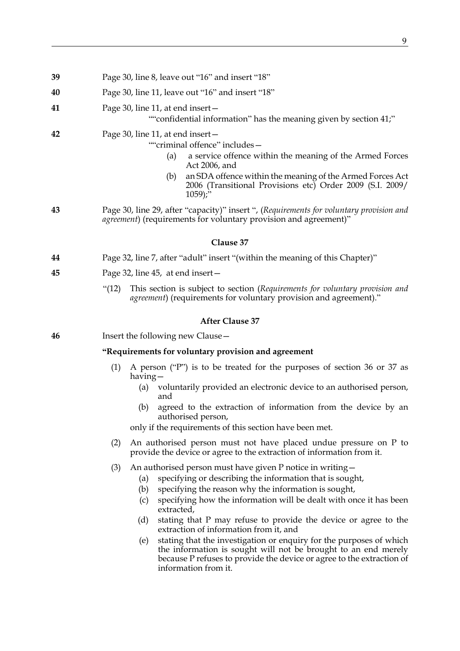| 39 | Page 30, line 8, leave out "16" and insert "18"                                                                                                                                                                                                                                                     |
|----|-----------------------------------------------------------------------------------------------------------------------------------------------------------------------------------------------------------------------------------------------------------------------------------------------------|
| 40 | Page 30, line 11, leave out "16" and insert "18"                                                                                                                                                                                                                                                    |
| 41 | Page 30, line 11, at end insert -<br>""confidential information" has the meaning given by section 41;"                                                                                                                                                                                              |
| 42 | Page 30, line 11, at end insert-<br>""criminal offence" includes-<br>a service offence within the meaning of the Armed Forces<br>(a)<br>Act 2006, and<br>an SDA offence within the meaning of the Armed Forces Act<br>(b)<br>2006 (Transitional Provisions etc) Order 2009 (S.I. 2009/<br>$1059$ ;" |
| 43 | Page 30, line 29, after "capacity)" insert ", (Requirements for voluntary provision and<br>agreement) (requirements for voluntary provision and agreement)"                                                                                                                                         |
|    | Clause 37                                                                                                                                                                                                                                                                                           |
| 44 | Page 32, line 7, after "adult" insert "(within the meaning of this Chapter)"                                                                                                                                                                                                                        |
| 45 | Page 32, line 45, at end insert-                                                                                                                                                                                                                                                                    |
|    | This section is subject to section (Requirements for voluntary provision and<br>"(12)<br><i>agreement</i> ) (requirements for voluntary provision and agreement)."                                                                                                                                  |
|    | <b>After Clause 37</b>                                                                                                                                                                                                                                                                              |
| 46 | Insert the following new Clause -                                                                                                                                                                                                                                                                   |
|    | "Requirements for voluntary provision and agreement                                                                                                                                                                                                                                                 |
|    | A person ("P") is to be treated for the purposes of section 36 or 37 as<br>(1)<br>having $-$                                                                                                                                                                                                        |
|    | (a) voluntarily provided an electronic device to an authorised person,<br>and                                                                                                                                                                                                                       |
|    | agreed to the extraction of information from the device by an<br>(b)<br>authorised person,<br>only if the requirements of this section have been met.                                                                                                                                               |
|    |                                                                                                                                                                                                                                                                                                     |
|    | An authorised person must not have placed undue pressure on P to<br>(2)<br>provide the device or agree to the extraction of information from it.                                                                                                                                                    |
|    | An authorised person must have given P notice in writing-<br>(3)<br>specifying or describing the information that is sought,<br>(a)                                                                                                                                                                 |

- (b) specifying the reason why the information is sought,
- (c) specifying how the information will be dealt with once it has been extracted,
- (d) stating that P may refuse to provide the device or agree to the extraction of information from it, and
- (e) stating that the investigation or enquiry for the purposes of which the information is sought will not be brought to an end merely because P refuses to provide the device or agree to the extraction of information from it.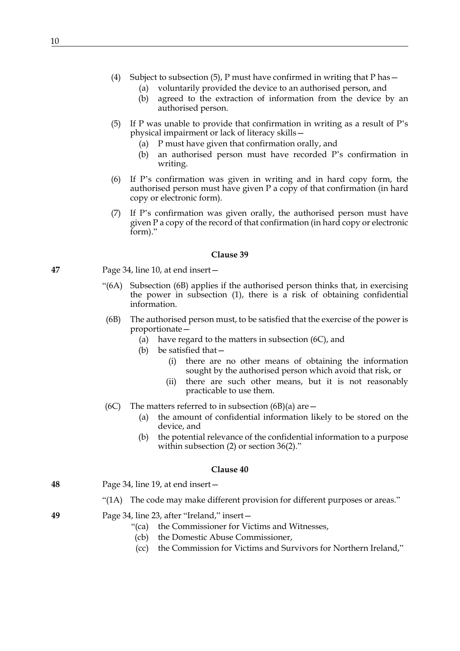- (a) voluntarily provided the device to an authorised person, and
- (b) agreed to the extraction of information from the device by an authorised person.
- <span id="page-9-0"></span>(5) If P was unable to provide that confirmation in writing as a result of P's physical impairment or lack of literacy skills—
	- (a) P must have given that confirmation orally, and
	- (b) an authorised person must have recorded P's confirmation in writing.
- (6) If P's confirmation was given in writing and in hard copy form, the authorised person must have given P a copy of that confirmation (in hard copy or electronic form).
- (7) If P's confirmation was given orally, the authorised person must have given P a copy of the record of that confirmation (in hard copy or electronic form)."

**47** Page 34, line 10, at end insert—

- "(6A) Subsection [\(6B\)](#page-9-1) applies if the authorised person thinks that, in exercising the power in subsection (1), there is a risk of obtaining confidential information.
- <span id="page-9-3"></span><span id="page-9-1"></span>(6B) The authorised person must, to be satisfied that the exercise of the power is proportionate—
	- (a) have regard to the matters in subsection [\(6C\)](#page-9-2), and
	- (b) be satisfied that—
		- (i) there are no other means of obtaining the information sought by the authorised person which avoid that risk, or
		- (ii) there are such other means, but it is not reasonably practicable to use them.
- <span id="page-9-2"></span>(6C) The matters referred to in subsection [\(6B\)\(a\)](#page-9-3) are  $-$ 
	- (a) the amount of confidential information likely to be stored on the device, and
	- (b) the potential relevance of the confidential information to a purpose within subsection (2) or section 36(2)."

# **Clause 40**

**48** Page 34, line 19, at end insert—

# "(1A) The code may make different provision for different purposes or areas."

- **49** Page 34, line 23, after "Ireland," insert—
	- "(ca) the Commissioner for Victims and Witnesses,
	- (cb) the Domestic Abuse Commissioner,
	- (cc) the Commission for Victims and Survivors for Northern Ireland,"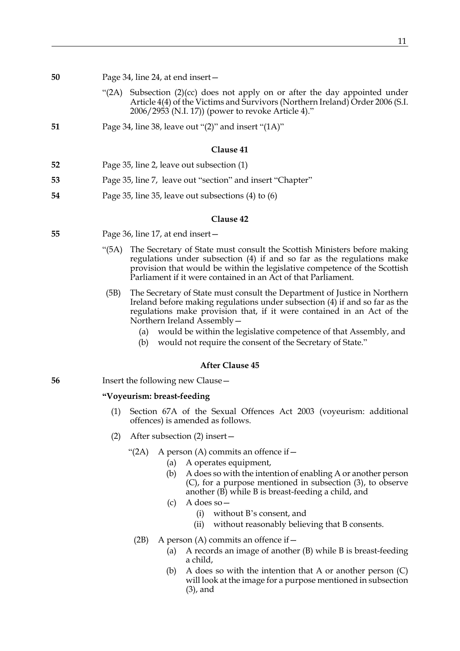| 50 | Page 34, line 24, at end insert- |
|----|----------------------------------|
|    |                                  |

- "(2A) Subsection (2)(cc) does not apply on or after the day appointed under Article 4(4) of the Victims and Survivors (Northern Ireland) Order 2006 (S.I. 2006/2953 (N.I. 17)) (power to revoke Article 4)."
- **51** Page 34, line 38, leave out "(2)" and insert "(1A)"

- **52** Page 35, line 2, leave out subsection (1)
- **53** Page 35, line 7, leave out "section" and insert "Chapter"
- **54** Page 35, line 35, leave out subsections (4) to (6)

#### **Clause 42**

- **55** Page 36, line 17, at end insert—
	- "(5A) The Secretary of State must consult the Scottish Ministers before making regulations under subsection (4) if and so far as the regulations make provision that would be within the legislative competence of the Scottish Parliament if it were contained in an Act of that Parliament.
	- (5B) The Secretary of State must consult the Department of Justice in Northern Ireland before making regulations under subsection (4) if and so far as the regulations make provision that, if it were contained in an Act of the Northern Ireland Assembly—
		- (a) would be within the legislative competence of that Assembly, and
		- (b) would not require the consent of the Secretary of State."

# **After Clause 45**

# **56** Insert the following new Clause—

# **"Voyeurism: breast-feeding**

- (1) Section 67A of the Sexual Offences Act 2003 (voyeurism: additional offences) is amended as follows.
- (2) After subsection (2) insert—
	- "(2A) A person (A) commits an offence if  $-$ 
		- (a) A operates equipment,
		- (b) A does so with the intention of enabling A or another person (C), for a purpose mentioned in subsection (3), to observe another (B) while B is breast-feeding a child, and
		- (c) A does so—
			- (i) without B's consent, and
			- (ii) without reasonably believing that B consents.
		- (2B) A person (A) commits an offence if  $-$ 
			- (a) A records an image of another (B) while B is breast-feeding a child,
			- (b) A does so with the intention that A or another person (C) will look at the image for a purpose mentioned in subsection (3), and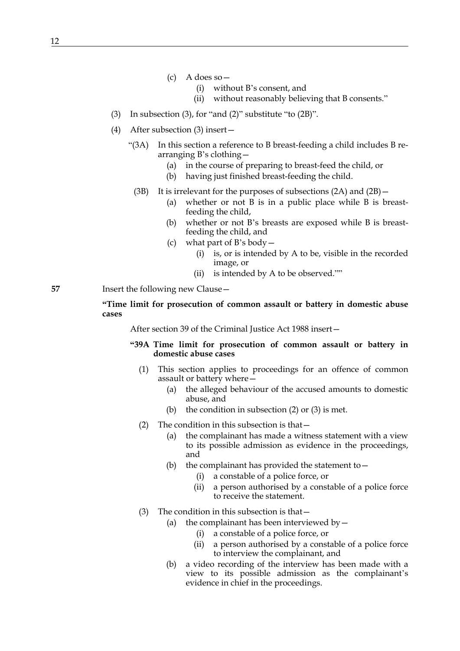- $(c)$  A does so
	- (i) without B's consent, and
	- (ii) without reasonably believing that B consents."
- (3) In subsection (3), for "and (2)" substitute "to (2B)".
- (4) After subsection (3) insert—
	- "(3A) In this section a reference to B breast-feeding a child includes B rearranging B's clothing—
		- (a) in the course of preparing to breast-feed the child, or
		- (b) having just finished breast-feeding the child.
		- (3B) It is irrelevant for the purposes of subsections (2A) and (2B)—
			- (a) whether or not B is in a public place while B is breastfeeding the child,
			- (b) whether or not B's breasts are exposed while B is breastfeeding the child, and
			- (c) what part of B's body—
				- (i) is, or is intended by A to be, visible in the recorded image, or
				- (ii) is intended by A to be observed.""
- **57** Insert the following new Clause—

**"Time limit for prosecution of common assault or battery in domestic abuse cases**

After section 39 of the Criminal Justice Act 1988 insert—

- **"39A Time limit for prosecution of common assault or battery in domestic abuse cases**
	- (1) This section applies to proceedings for an offence of common assault or battery where—
		- (a) the alleged behaviour of the accused amounts to domestic abuse, and
		- (b) the condition in subsection  $(2)$  or  $(3)$  is met.
	- (2) The condition in this subsection is that—
		- (a) the complainant has made a witness statement with a view to its possible admission as evidence in the proceedings, and
		- (b) the complainant has provided the statement to  $-$ 
			- (i) a constable of a police force, or
			- (ii) a person authorised by a constable of a police force to receive the statement.
	- (3) The condition in this subsection is that—
		- (a) the complainant has been interviewed by  $-$ 
			- (i) a constable of a police force, or
			- (ii) a person authorised by a constable of a police force to interview the complainant, and
		- (b) a video recording of the interview has been made with a view to its possible admission as the complainant's evidence in chief in the proceedings.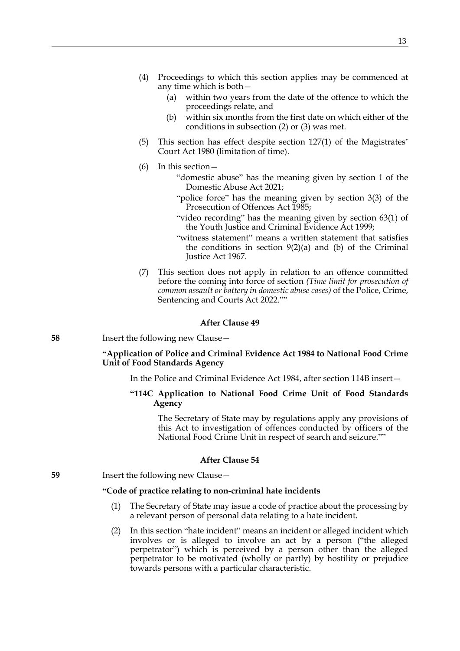- (4) Proceedings to which this section applies may be commenced at any time which is both—
	- (a) within two years from the date of the offence to which the proceedings relate, and
	- (b) within six months from the first date on which either of the conditions in subsection (2) or (3) was met.
- (5) This section has effect despite section 127(1) of the Magistrates' Court Act 1980 (limitation of time).
- (6) In this section—
	- "domestic abuse" has the meaning given by section 1 of the Domestic Abuse Act 2021;
	- "police force" has the meaning given by section 3(3) of the Prosecution of Offences Act 1985;
	- "video recording" has the meaning given by section 63(1) of the Youth Justice and Criminal Evidence Act 1999;
	- "witness statement" means a written statement that satisfies the conditions in section  $9(2)(a)$  and (b) of the Criminal Justice Act 1967.
- (7) This section does not apply in relation to an offence committed before the coming into force of section *(Time limit for prosecution of common assault or battery in domestic abuse cases)* of the Police, Crime, Sentencing and Courts Act 2022.""

# **After Clause 49**

**58** Insert the following new Clause—

# **"Application of Police and Criminal Evidence Act 1984 to National Food Crime Unit of Food Standards Agency**

In the Police and Criminal Evidence Act 1984, after section 114B insert—

**"114C Application to National Food Crime Unit of Food Standards Agency**

 The Secretary of State may by regulations apply any provisions of this Act to investigation of offences conducted by officers of the National Food Crime Unit in respect of search and seizure.""

# **After Clause 54**

**59** Insert the following new Clause —

# **"Code of practice relating to non-criminal hate incidents**

- (1) The Secretary of State may issue a code of practice about the processing by a relevant person of personal data relating to a hate incident.
- (2) In this section "hate incident" means an incident or alleged incident which involves or is alleged to involve an act by a person ("the alleged perpetrator") which is perceived by a person other than the alleged perpetrator to be motivated (wholly or partly) by hostility or prejudice towards persons with a particular characteristic.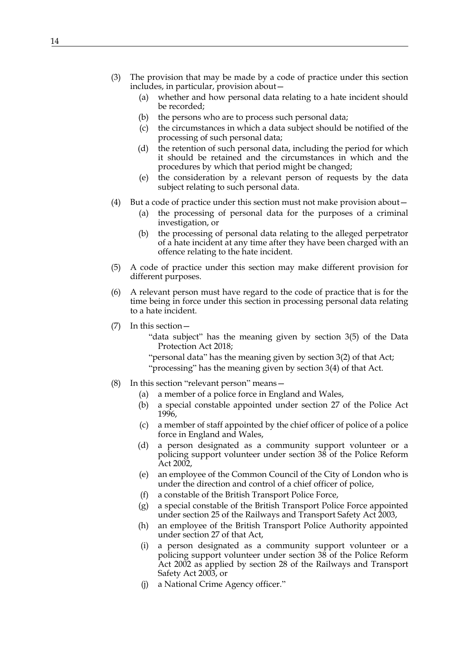- (3) The provision that may be made by a code of practice under this section includes, in particular, provision about—
	- (a) whether and how personal data relating to a hate incident should be recorded;
	- (b) the persons who are to process such personal data;
	- (c) the circumstances in which a data subject should be notified of the processing of such personal data;
	- (d) the retention of such personal data, including the period for which it should be retained and the circumstances in which and the procedures by which that period might be changed;
	- (e) the consideration by a relevant person of requests by the data subject relating to such personal data.
- (4) But a code of practice under this section must not make provision about—
	- (a) the processing of personal data for the purposes of a criminal investigation, or
	- (b) the processing of personal data relating to the alleged perpetrator of a hate incident at any time after they have been charged with an offence relating to the hate incident.
- (5) A code of practice under this section may make different provision for different purposes.
- (6) A relevant person must have regard to the code of practice that is for the time being in force under this section in processing personal data relating to a hate incident.
- (7) In this section—
	- "data subject" has the meaning given by section 3(5) of the Data Protection Act 2018;
	- "personal data" has the meaning given by section 3(2) of that Act; "processing" has the meaning given by section 3(4) of that Act.
- (8) In this section "relevant person" means—
	- (a) a member of a police force in England and Wales,
	- (b) a special constable appointed under section 27 of the Police Act 1996,
	- (c) a member of staff appointed by the chief officer of police of a police force in England and Wales,
	- (d) a person designated as a community support volunteer or a policing support volunteer under section 38 of the Police Reform Act 2002,
	- (e) an employee of the Common Council of the City of London who is under the direction and control of a chief officer of police,
	- (f) a constable of the British Transport Police Force,
	- (g) a special constable of the British Transport Police Force appointed under section 25 of the Railways and Transport Safety Act 2003,
	- (h) an employee of the British Transport Police Authority appointed under section 27 of that Act,
	- (i) a person designated as a community support volunteer or a policing support volunteer under section 38 of the Police Reform Act 2002 as applied by section 28 of the Railways and Transport Safety Act 2003, or
	- (j) a National Crime Agency officer."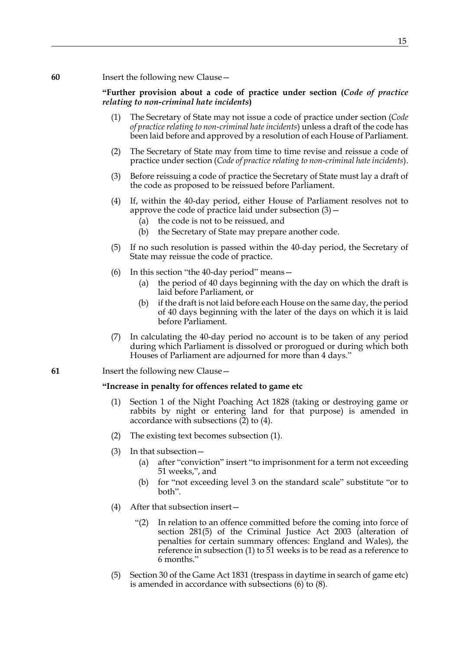# **"Further provision about a code of practice under section (***Code of practice relating to non-criminal hate incidents***)**

- (1) The Secretary of State may not issue a code of practice under section (*Code of practice relating to non-criminal hate incidents*) unless a draft of the code has been laid before and approved by a resolution of each House of Parliament.
- (2) The Secretary of State may from time to time revise and reissue a code of practice under section (*Code of practice relating to non-criminal hate incidents*).
- <span id="page-14-0"></span>(3) Before reissuing a code of practice the Secretary of State must lay a draft of the code as proposed to be reissued before Parliament.
- (4) If, within the 40-day period, either House of Parliament resolves not to approve the code of practice laid under subsection  $(3)$  –
	- (a) the code is not to be reissued, and
	- (b) the Secretary of State may prepare another code.
- (5) If no such resolution is passed within the 40-day period, the Secretary of State may reissue the code of practice.
- (6) In this section "the 40-day period" means—
	- (a) the period of 40 days beginning with the day on which the draft is laid before Parliament, or
	- (b) if the draft is not laid before each House on the same day, the period of 40 days beginning with the later of the days on which it is laid before Parliament.
- (7) In calculating the 40-day period no account is to be taken of any period during which Parliament is dissolved or prorogued or during which both Houses of Parliament are adjourned for more than 4 days."
- **61** Insert the following new Clause—

# **"Increase in penalty for offences related to game etc**

- (1) Section 1 of the Night Poaching Act 1828 (taking or destroying game or rabbits by night or entering land for that purpose) is amended in accordance with subsections  $(2)$  to  $(4)$ .
- <span id="page-14-1"></span>(2) The existing text becomes subsection (1).
- (3) In that subsection—
	- (a) after "conviction" insert "to imprisonment for a term not exceeding 51 weeks,", and
	- (b) for "not exceeding level 3 on the standard scale" substitute "or to both".
- <span id="page-14-2"></span>(4) After that subsection insert—
	- "(2) In relation to an offence committed before the coming into force of section 281(5) of the Criminal Justice Act 2003 (alteration of penalties for certain summary offences: England and Wales), the reference in subsection (1) to 51 weeks is to be read as a reference to 6 months."
- (5) Section 30 of the Game Act 1831 (trespass in daytime in search of game etc) is amended in accordance with subsections [\(6\)](#page-15-0) to [\(8\)](#page-15-1).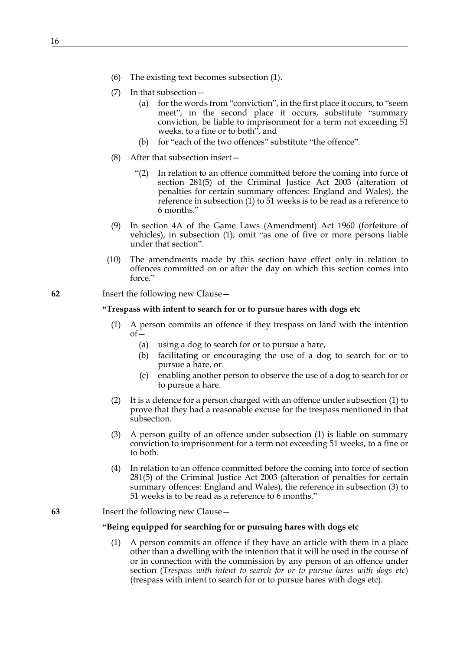- <span id="page-15-0"></span>(6) The existing text becomes subsection (1).
- (7) In that subsection—
	- (a) for the words from "conviction", in the first place it occurs, to "seem meet", in the second place it occurs, substitute "summary conviction, be liable to imprisonment for a term not exceeding 51 weeks, to a fine or to both", and
	- (b) for "each of the two offences" substitute "the offence".
- <span id="page-15-1"></span>(8) After that subsection insert—
	- "(2) In relation to an offence committed before the coming into force of section 281(5) of the Criminal Justice Act 2003 (alteration of penalties for certain summary offences: England and Wales), the reference in subsection (1) to 51 weeks is to be read as a reference to 6 months."
- (9) In section 4A of the Game Laws (Amendment) Act 1960 (forfeiture of vehicles), in subsection (1), omit "as one of five or more persons liable under that section".
- (10) The amendments made by this section have effect only in relation to offences committed on or after the day on which this section comes into force."
- **62** Insert the following new Clause—

### **"Trespass with intent to search for or to pursue hares with dogs etc**

- <span id="page-15-2"></span>(1) A person commits an offence if they trespass on land with the intention of—
	- (a) using a dog to search for or to pursue a hare,
	- (b) facilitating or encouraging the use of a dog to search for or to pursue a hare, or
	- (c) enabling another person to observe the use of a dog to search for or to pursue a hare.
- (2) It is a defence for a person charged with an offence under subsection [\(1\)](#page-15-2) to prove that they had a reasonable excuse for the trespass mentioned in that subsection.
- <span id="page-15-3"></span>(3) A person guilty of an offence under subsection [\(1\)](#page-15-2) is liable on summary conviction to imprisonment for a term not exceeding 51 weeks, to a fine or to both.
- (4) In relation to an offence committed before the coming into force of section 281(5) of the Criminal Justice Act 2003 (alteration of penalties for certain summary offences: England and Wales), the reference in subsection [\(3\)](#page-15-3) to 51 weeks is to be read as a reference to 6 months."
- **63** Insert the following new Clause—

#### **"Being equipped for searching for or pursuing hares with dogs etc**

<span id="page-15-4"></span>(1) A person commits an offence if they have an article with them in a place other than a dwelling with the intention that it will be used in the course of or in connection with the commission by any person of an offence under section (*Trespass with intent to search for or to pursue hares with dogs etc*) (trespass with intent to search for or to pursue hares with dogs etc).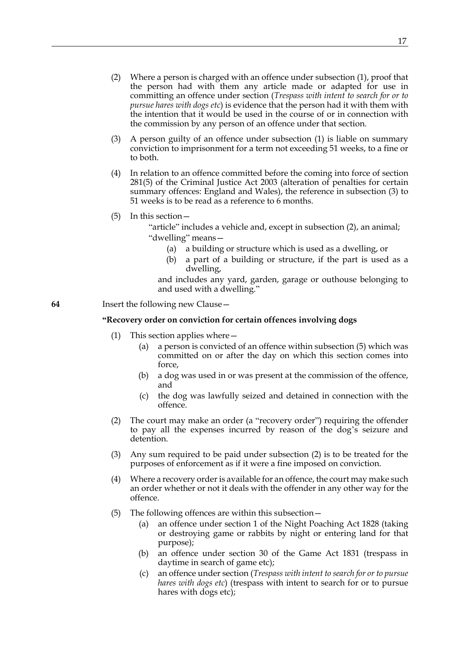- <span id="page-16-1"></span>(2) Where a person is charged with an offence under subsection [\(1\),](#page-15-4) proof that the person had with them any article made or adapted for use in committing an offence under section (*Trespass with intent to search for or to pursue hares with dogs etc*) is evidence that the person had it with them with the intention that it would be used in the course of or in connection with the commission by any person of an offence under that section.
- <span id="page-16-0"></span>(3) A person guilty of an offence under subsection [\(1\)](#page-15-4) is liable on summary conviction to imprisonment for a term not exceeding 51 weeks, to a fine or to both.
- (4) In relation to an offence committed before the coming into force of section 281(5) of the Criminal Justice Act 2003 (alteration of penalties for certain summary offences: England and Wales), the reference in subsection [\(3\)](#page-16-0) to 51 weeks is to be read as a reference to 6 months.
- (5) In this section—
	- "article" includes a vehicle and, except in subsection [\(2\)](#page-16-1), an animal; "dwelling" means—
		- (a) a building or structure which is used as a dwelling, or
		- (b) a part of a building or structure, if the part is used as a dwelling,

and includes any yard, garden, garage or outhouse belonging to and used with a dwelling."

# **64** Insert the following new Clause—

# **"Recovery order on conviction for certain offences involving dogs**

- (1) This section applies where—
	- (a) a person is convicted of an offence within subsection [\(5\)](#page-16-2) which was committed on or after the day on which this section comes into force,
	- (b) a dog was used in or was present at the commission of the offence, and
	- (c) the dog was lawfully seized and detained in connection with the offence.
- <span id="page-16-3"></span>(2) The court may make an order (a "recovery order") requiring the offender to pay all the expenses incurred by reason of the dog's seizure and detention.
- (3) Any sum required to be paid under subsection [\(2\)](#page-16-3) is to be treated for the purposes of enforcement as if it were a fine imposed on conviction.
- (4) Where a recovery order is available for an offence, the court may make such an order whether or not it deals with the offender in any other way for the offence.
- <span id="page-16-2"></span>(5) The following offences are within this subsection—
	- (a) an offence under section 1 of the Night Poaching Act 1828 (taking or destroying game or rabbits by night or entering land for that purpose);
	- (b) an offence under section 30 of the Game Act 1831 (trespass in daytime in search of game etc);
	- (c) an offence under section (*Trespass with intent to search for or to pursue hares with dogs etc*) (trespass with intent to search for or to pursue hares with dogs etc);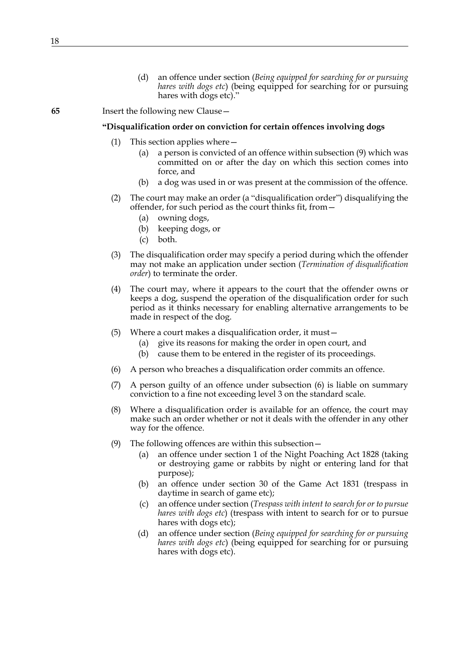(d) an offence under section (*Being equipped for searching for or pursuing hares with dogs etc*) (being equipped for searching for or pursuing hares with dogs etc)."

# **65** Insert the following new Clause—

# **"Disqualification order on conviction for certain offences involving dogs**

- (1) This section applies where—
	- (a) a person is convicted of an offence within subsection [\(9\)](#page-17-0) which was committed on or after the day on which this section comes into force, and
	- (b) a dog was used in or was present at the commission of the offence.
- (2) The court may make an order (a "disqualification order") disqualifying the offender, for such period as the court thinks fit, from—
	- (a) owning dogs,
	- (b) keeping dogs, or
	- (c) both.
- <span id="page-17-2"></span>(3) The disqualification order may specify a period during which the offender may not make an application under section (*Termination of disqualification order*) to terminate the order.
- (4) The court may, where it appears to the court that the offender owns or keeps a dog, suspend the operation of the disqualification order for such period as it thinks necessary for enabling alternative arrangements to be made in respect of the dog.
- (5) Where a court makes a disqualification order, it must—
	- (a) give its reasons for making the order in open court, and
	- (b) cause them to be entered in the register of its proceedings.
- <span id="page-17-1"></span>(6) A person who breaches a disqualification order commits an offence.
- (7) A person guilty of an offence under subsection [\(6\)](#page-17-1) is liable on summary conviction to a fine not exceeding level 3 on the standard scale.
- (8) Where a disqualification order is available for an offence, the court may make such an order whether or not it deals with the offender in any other way for the offence.
- <span id="page-17-0"></span>(9) The following offences are within this subsection—
	- (a) an offence under section 1 of the Night Poaching Act 1828 (taking or destroying game or rabbits by night or entering land for that purpose);
	- (b) an offence under section 30 of the Game Act 1831 (trespass in daytime in search of game etc);
	- (c) an offence under section (*Trespass with intent to search for or to pursue hares with dogs etc*) (trespass with intent to search for or to pursue hares with dogs etc);
	- (d) an offence under section (*Being equipped for searching for or pursuing hares with dogs etc*) (being equipped for searching for or pursuing hares with dogs etc).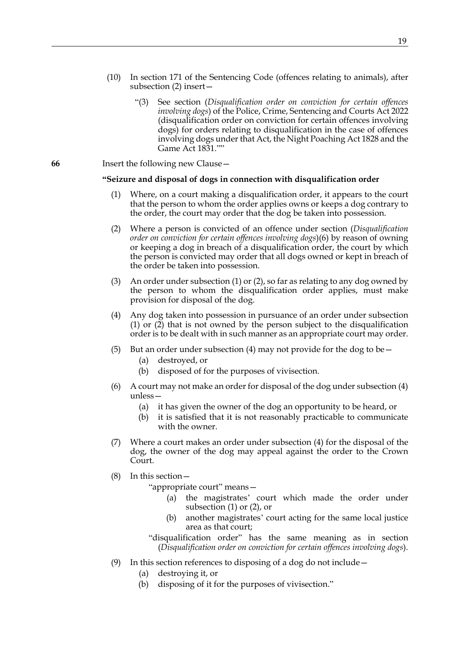- (10) In section 171 of the Sentencing Code (offences relating to animals), after subsection (2) insert—
	- "(3) See section (*Disqualification order on conviction for certain offences involving dogs*) of the Police, Crime, Sentencing and Courts Act 2022 (disqualification order on conviction for certain offences involving dogs) for orders relating to disqualification in the case of offences involving dogs under that Act, the Night Poaching Act 1828 and the Game Act 1831.""
- **66** Insert the following new Clause—

#### **"Seizure and disposal of dogs in connection with disqualification order**

- <span id="page-18-0"></span>(1) Where, on a court making a disqualification order, it appears to the court that the person to whom the order applies owns or keeps a dog contrary to the order, the court may order that the dog be taken into possession.
- <span id="page-18-1"></span>(2) Where a person is convicted of an offence under section (*Disqualification order on conviction for certain offences involving dogs*)[\(6\)](#page-17-1) by reason of owning or keeping a dog in breach of a disqualification order, the court by which the person is convicted may order that all dogs owned or kept in breach of the order be taken into possession.
- (3) An order under subsection [\(1\)](#page-18-0) or [\(2\),](#page-18-1) so far as relating to any dog owned by the person to whom the disqualification order applies, must make provision for disposal of the dog.
- <span id="page-18-2"></span>(4) Any dog taken into possession in pursuance of an order under subsection [\(1\)](#page-18-0) or [\(2\)](#page-18-1) that is not owned by the person subject to the disqualification order is to be dealt with in such manner as an appropriate court may order.
- (5) But an order under subsection [\(4\)](#page-18-2) may not provide for the dog to be  $-$ 
	- (a) destroyed, or
	- (b) disposed of for the purposes of vivisection.
- (6) A court may not make an order for disposal of the dog under subsection [\(4\)](#page-18-2) unless—
	- (a) it has given the owner of the dog an opportunity to be heard, or
	- (b) it is satisfied that it is not reasonably practicable to communicate with the owner.
- (7) Where a court makes an order under subsection [\(4\)](#page-18-2) for the disposal of the dog, the owner of the dog may appeal against the order to the Crown Court.
- (8) In this section—

"appropriate court" means—

- (a) the magistrates' court which made the order under subsection [\(1\)](#page-18-0) or [\(2\)](#page-18-1), or
- (b) another magistrates' court acting for the same local justice area as that court;

"disqualification order" has the same meaning as in section (*Disqualification order on conviction for certain offences involving dogs*).

- (9) In this section references to disposing of a dog do not include—
	- (a) destroying it, or
	- (b) disposing of it for the purposes of vivisection."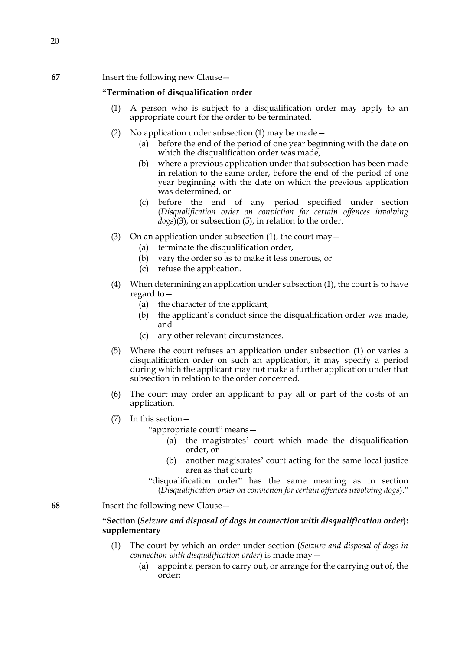# **67** Insert the following new Clause—

# **"Termination of disqualification order**

- <span id="page-19-0"></span>(1) A person who is subject to a disqualification order may apply to an appropriate court for the order to be terminated.
- (2) No application under subsection [\(1\)](#page-19-0) may be made—
	- (a) before the end of the period of one year beginning with the date on which the disqualification order was made,
	- (b) where a previous application under that subsection has been made in relation to the same order, before the end of the period of one year beginning with the date on which the previous application was determined, or
	- (c) before the end of any period specified under section (*Disqualification order on conviction for certain offences involving dogs*[\)\(3\)](#page-17-2), or subsection [\(5\),](#page-19-1) in relation to the order.
- (3) On an application under subsection [\(1\)](#page-19-0), the court may  $-$ 
	- (a) terminate the disqualification order,
	- (b) vary the order so as to make it less onerous, or
	- (c) refuse the application.
- (4) When determining an application under subsection [\(1\)](#page-19-0), the court is to have regard to—
	- (a) the character of the applicant,
	- (b) the applicant's conduct since the disqualification order was made, and
	- (c) any other relevant circumstances.
- <span id="page-19-1"></span>(5) Where the court refuses an application under subsection [\(1\)](#page-19-0) or varies a disqualification order on such an application, it may specify a period during which the applicant may not make a further application under that subsection in relation to the order concerned.
- (6) The court may order an applicant to pay all or part of the costs of an application.
- (7) In this section—

"appropriate court" means—

- (a) the magistrates' court which made the disqualification order, or
- (b) another magistrates' court acting for the same local justice area as that court;

"disqualification order" has the same meaning as in section (*Disqualification order on conviction for certain offences involving dogs*)."

**68** Insert the following new Clause—

# **"Section (***Seizure and disposal of dogs in connection with disqualification order***): supplementary**

- <span id="page-19-2"></span>(1) The court by which an order under section (*Seizure and disposal of dogs in connection with disqualification order*) is made may—
	- (a) appoint a person to carry out, or arrange for the carrying out of, the order;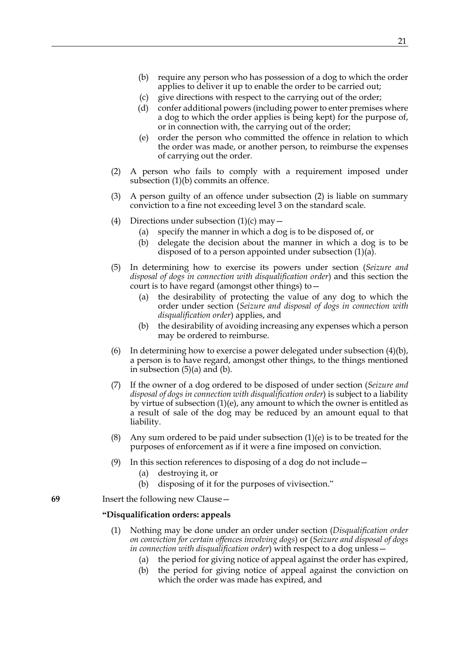- <span id="page-20-0"></span>(b) require any person who has possession of a dog to which the order applies to deliver it up to enable the order to be carried out;
- <span id="page-20-2"></span>(c) give directions with respect to the carrying out of the order;
- (d) confer additional powers (including power to enter premises where a dog to which the order applies is being kept) for the purpose of, or in connection with, the carrying out of the order;
- (e) order the person who committed the offence in relation to which the order was made, or another person, to reimburse the expenses of carrying out the order.
- <span id="page-20-6"></span><span id="page-20-1"></span>(2) A person who fails to comply with a requirement imposed under subsection [\(1\)\(b\)](#page-20-0) commits an offence.
- (3) A person guilty of an offence under subsection [\(2\)](#page-20-1) is liable on summary conviction to a fine not exceeding level 3 on the standard scale.
- <span id="page-20-3"></span>(4) Directions under subsection  $(1)(c)$  may  $-$ 
	- (a) specify the manner in which a dog is to be disposed of, or
	- (b) delegate the decision about the manner in which a dog is to be disposed of to a person appointed under subsection [\(1\)\(a\)](#page-19-2).
- <span id="page-20-4"></span>(5) In determining how to exercise its powers under section (*Seizure and disposal of dogs in connection with disqualification order*) and this section the court is to have regard (amongst other things) to—
	- (a) the desirability of protecting the value of any dog to which the order under section (*Seizure and disposal of dogs in connection with disqualification order*) applies, and
	- (b) the desirability of avoiding increasing any expenses which a person may be ordered to reimburse.
- <span id="page-20-5"></span>(6) In determining how to exercise a power delegated under subsection  $(4)(b)$ , a person is to have regard, amongst other things, to the things mentioned in subsection [\(5\)\(a\)](#page-20-4) and [\(b\)](#page-20-5).
- (7) If the owner of a dog ordered to be disposed of under section (*Seizure and disposal of dogs in connection with disqualification order*) is subject to a liability by virtue of subsection [\(1\)\(e\)](#page-20-6), any amount to which the owner is entitled as a result of sale of the dog may be reduced by an amount equal to that liability.
- (8) Any sum ordered to be paid under subsection  $(1)(e)$  is to be treated for the purposes of enforcement as if it were a fine imposed on conviction.
- (9) In this section references to disposing of a dog do not include—
	- (a) destroying it, or
	- (b) disposing of it for the purposes of vivisection."

**69** Insert the following new Clause—

# **"Disqualification orders: appeals**

- <span id="page-20-7"></span>(1) Nothing may be done under an order under section (*Disqualification order on conviction for certain offences involving dogs*) or (*Seizure and disposal of dogs in connection with disqualification order*) with respect to a dog unless—
	- (a) the period for giving notice of appeal against the order has expired,
	- (b) the period for giving notice of appeal against the conviction on which the order was made has expired, and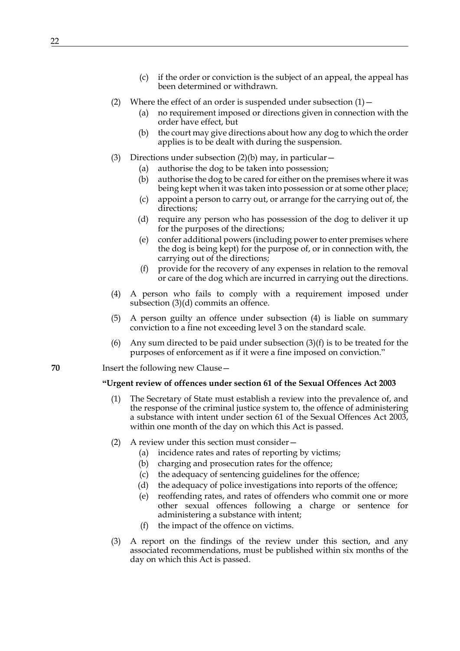- (c) if the order or conviction is the subject of an appeal, the appeal has been determined or withdrawn.
- (2) Where the effect of an order is suspended under subsection  $(1)$ 
	- (a) no requirement imposed or directions given in connection with the order have effect, but
	- (b) the court may give directions about how any dog to which the order applies is to be dealt with during the suspension.
- <span id="page-21-1"></span><span id="page-21-0"></span>(3) Directions under subsection  $(2)(b)$  may, in particular  $-$ 
	- (a) authorise the dog to be taken into possession;
	- (b) authorise the dog to be cared for either on the premises where it was being kept when it was taken into possession or at some other place;
	- (c) appoint a person to carry out, or arrange for the carrying out of, the directions;
	- (d) require any person who has possession of the dog to deliver it up for the purposes of the directions;
	- (e) confer additional powers (including power to enter premises where the dog is being kept) for the purpose of, or in connection with, the carrying out of the directions;
	- (f) provide for the recovery of any expenses in relation to the removal or care of the dog which are incurred in carrying out the directions.
- <span id="page-21-3"></span><span id="page-21-2"></span>(4) A person who fails to comply with a requirement imposed under subsection [\(3\)\(d\)](#page-21-1) commits an offence.
- (5) A person guilty an offence under subsection [\(4\)](#page-21-2) is liable on summary conviction to a fine not exceeding level 3 on the standard scale.
- (6) Any sum directed to be paid under subsection  $(3)(f)$  is to be treated for the purposes of enforcement as if it were a fine imposed on conviction."
- **70** Insert the following new Clause—

#### **"Urgent review of offences under section 61 of the Sexual Offences Act 2003**

- (1) The Secretary of State must establish a review into the prevalence of, and the response of the criminal justice system to, the offence of administering a substance with intent under section 61 of the Sexual Offences Act 2003, within one month of the day on which this Act is passed.
- (2) A review under this section must consider—
	- (a) incidence rates and rates of reporting by victims;
	- (b) charging and prosecution rates for the offence;
	- (c) the adequacy of sentencing guidelines for the offence;
	- (d) the adequacy of police investigations into reports of the offence;
	- (e) reoffending rates, and rates of offenders who commit one or more other sexual offences following a charge or sentence for administering a substance with intent;
	- (f) the impact of the offence on victims.
- (3) A report on the findings of the review under this section, and any associated recommendations, must be published within six months of the day on which this Act is passed.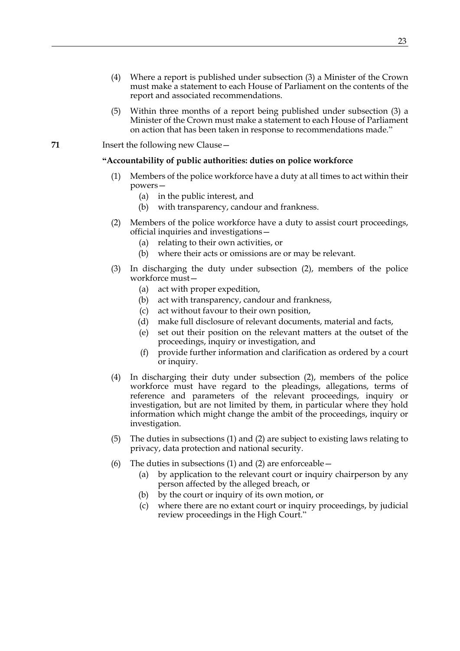- (4) Where a report is published under subsection (3) a Minister of the Crown must make a statement to each House of Parliament on the contents of the report and associated recommendations.
- (5) Within three months of a report being published under subsection (3) a Minister of the Crown must make a statement to each House of Parliament on action that has been taken in response to recommendations made."

**71** Insert the following new Clause—

# **"Accountability of public authorities: duties on police workforce**

- (1) Members of the police workforce have a duty at all times to act within their powers—
	- (a) in the public interest, and
	- (b) with transparency, candour and frankness.
- (2) Members of the police workforce have a duty to assist court proceedings, official inquiries and investigations—
	- (a) relating to their own activities, or
	- (b) where their acts or omissions are or may be relevant.
- (3) In discharging the duty under subsection (2), members of the police workforce must—
	- (a) act with proper expedition,
	- (b) act with transparency, candour and frankness,
	- (c) act without favour to their own position,
	- (d) make full disclosure of relevant documents, material and facts,
	- (e) set out their position on the relevant matters at the outset of the proceedings, inquiry or investigation, and
	- (f) provide further information and clarification as ordered by a court or inquiry.
- (4) In discharging their duty under subsection (2), members of the police workforce must have regard to the pleadings, allegations, terms of reference and parameters of the relevant proceedings, inquiry or investigation, but are not limited by them, in particular where they hold information which might change the ambit of the proceedings, inquiry or investigation.
- (5) The duties in subsections (1) and (2) are subject to existing laws relating to privacy, data protection and national security.
- (6) The duties in subsections (1) and (2) are enforceable  $-$ 
	- (a) by application to the relevant court or inquiry chairperson by any person affected by the alleged breach, or
	- (b) by the court or inquiry of its own motion, or
	- (c) where there are no extant court or inquiry proceedings, by judicial review proceedings in the High Court."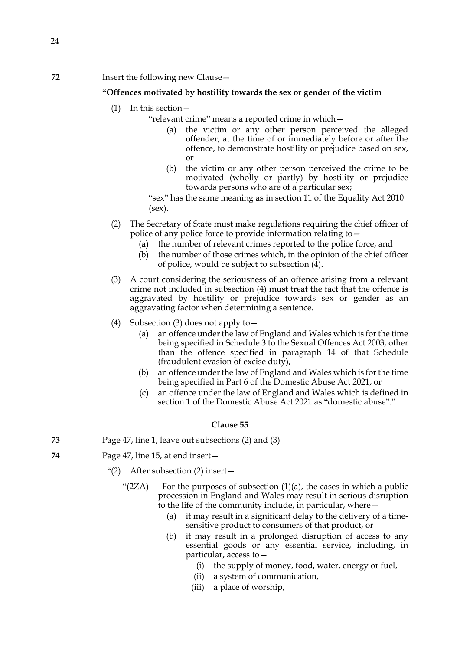# **72** Insert the following new Clause—

# **"Offences motivated by hostility towards the sex or gender of the victim**

- (1) In this section—
	- "relevant crime" means a reported crime in which—
		- (a) the victim or any other person perceived the alleged offender, at the time of or immediately before or after the offence, to demonstrate hostility or prejudice based on sex, or
		- (b) the victim or any other person perceived the crime to be motivated (wholly or partly) by hostility or prejudice towards persons who are of a particular sex;

"sex" has the same meaning as in section 11 of the Equality Act 2010 (sex).

- (2) The Secretary of State must make regulations requiring the chief officer of police of any police force to provide information relating to—
	- (a) the number of relevant crimes reported to the police force, and
	- (b) the number of those crimes which, in the opinion of the chief officer of police, would be subject to subsection (4).
- (3) A court considering the seriousness of an offence arising from a relevant crime not included in subsection (4) must treat the fact that the offence is aggravated by hostility or prejudice towards sex or gender as an aggravating factor when determining a sentence.
- (4) Subsection (3) does not apply to—
	- (a) an offence under the law of England and Wales which is for the time being specified in Schedule 3 to the Sexual Offences Act 2003, other than the offence specified in paragraph 14 of that Schedule (fraudulent evasion of excise duty),
	- (b) an offence under the law of England and Wales which is for the time being specified in Part 6 of the Domestic Abuse Act 2021, or
	- (c) an offence under the law of England and Wales which is defined in section 1 of the Domestic Abuse Act 2021 as "domestic abuse"."

- **73** Page 47, line 1, leave out subsections (2) and (3)
- **74** Page 47, line 15, at end insert—
	- "(2) After subsection (2) insert—
		- " $(2ZA)$  For the purposes of subsection  $(1)(a)$ , the cases in which a public procession in England and Wales may result in serious disruption to the life of the community include, in particular, where—
			- (a) it may result in a significant delay to the delivery of a timesensitive product to consumers of that product, or
			- (b) it may result in a prolonged disruption of access to any essential goods or any essential service, including, in particular, access to—
				- (i) the supply of money, food, water, energy or fuel,
				- (ii) a system of communication,
				- (iii) a place of worship,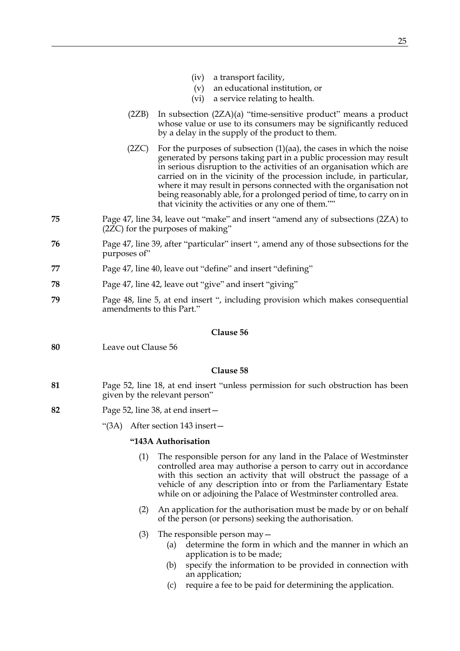- (iv) a transport facility,
- (v) an educational institution, or
- (vi) a service relating to health.
- (2ZB) In subsection (2ZA)(a) "time-sensitive product" means a product whose value or use to its consumers may be significantly reduced by a delay in the supply of the product to them.
- (2ZC) For the purposes of subsection  $(1)(aa)$ , the cases in which the noise generated by persons taking part in a public procession may result in serious disruption to the activities of an organisation which are carried on in the vicinity of the procession include, in particular, where it may result in persons connected with the organisation not being reasonably able, for a prolonged period of time, to carry on in that vicinity the activities or any one of them.""
- **75** Page 47, line 34, leave out "make" and insert "amend any of subsections (2ZA) to (2ZC) for the purposes of making"
- **76** Page 47, line 39, after "particular" insert ", amend any of those subsections for the purposes of"
- **77** Page 47, line 40, leave out "define" and insert "defining"
- **78** Page 47, line 42, leave out "give" and insert "giving"
- **79** Page 48, line 5, at end insert ", including provision which makes consequential amendments to this Part."

**80** Leave out Clause 56

#### **Clause 58**

- **81** Page 52, line 18, at end insert "unless permission for such obstruction has been given by the relevant person"
- **82** Page 52, line 38, at end insert—
	- "(3A) After section 143 insert—

# **"143A Authorisation**

- (1) The responsible person for any land in the Palace of Westminster controlled area may authorise a person to carry out in accordance with this section an activity that will obstruct the passage of a vehicle of any description into or from the Parliamentary Estate while on or adjoining the Palace of Westminster controlled area.
- (2) An application for the authorisation must be made by or on behalf of the person (or persons) seeking the authorisation.
- (3) The responsible person may—
	- (a) determine the form in which and the manner in which an application is to be made;
	- (b) specify the information to be provided in connection with an application;
	- (c) require a fee to be paid for determining the application.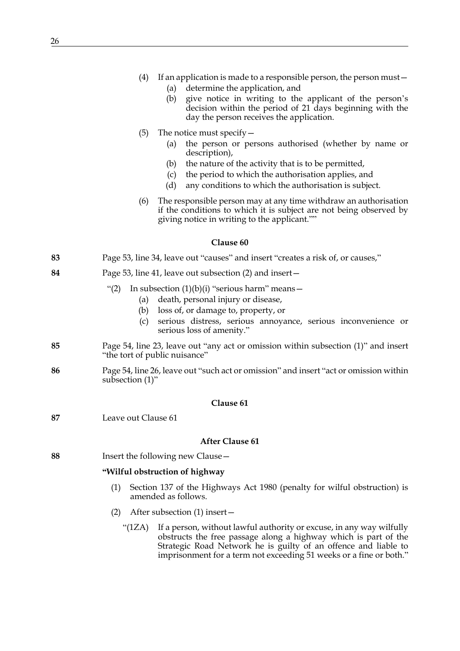- (a) determine the application, and
- (b) give notice in writing to the applicant of the person's decision within the period of 21 days beginning with the day the person receives the application.
- (5) The notice must specify—
	- (a) the person or persons authorised (whether by name or description),
	- (b) the nature of the activity that is to be permitted,
	- (c) the period to which the authorisation applies, and
	- (d) any conditions to which the authorisation is subject.
- (6) The responsible person may at any time withdraw an authorisation if the conditions to which it is subject are not being observed by giving notice in writing to the applicant.""

# **83** Page 53, line 34, leave out "causes" and insert "creates a risk of, or causes,"

**84** Page 53, line 41, leave out subsection (2) and insert—

# "(2) In subsection  $(1)(b)(i)$  "serious harm" means  $-$

- (a) death, personal injury or disease,
- (b) loss of, or damage to, property, or
- (c) serious distress, serious annoyance, serious inconvenience or serious loss of amenity."
- **85** Page 54, line 23, leave out "any act or omission within subsection (1)" and insert "the tort of public nuisance"
- **86** Page 54, line 26, leave out "such act or omission" and insert "act or omission within subsection (1)"

# **Clause 61**

**87** Leave out Clause 61

#### **After Clause 61**

**88** Insert the following new Clause—

### **"Wilful obstruction of highway**

- (1) Section 137 of the Highways Act 1980 (penalty for wilful obstruction) is amended as follows.
- (2) After subsection (1) insert—
	- "(1ZA) If a person, without lawful authority or excuse, in any way wilfully obstructs the free passage along a highway which is part of the Strategic Road Network he is guilty of an offence and liable to imprisonment for a term not exceeding 51 weeks or a fine or both."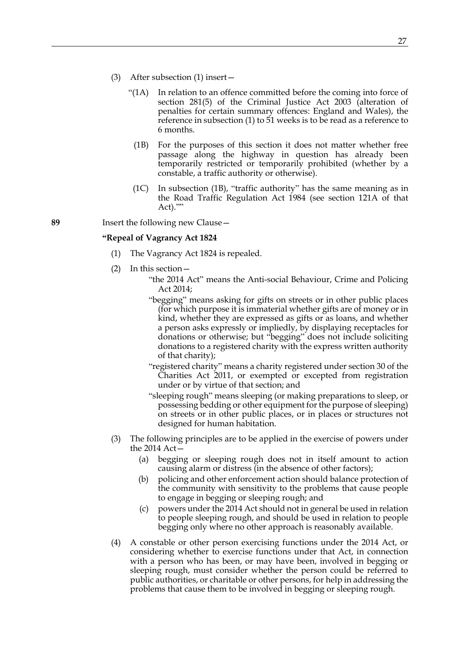- <span id="page-26-0"></span>(3) After subsection (1) insert—
	- "(1A) In relation to an offence committed before the coming into force of section 281(5) of the Criminal Justice Act 2003 (alteration of penalties for certain summary offences: England and Wales), the reference in subsection (1) to 51 weeks is to be read as a reference to 6 months.
		- (1B) For the purposes of this section it does not matter whether free passage along the highway in question has already been temporarily restricted or temporarily prohibited (whether by a constable, a traffic authority or otherwise).
		- (1C) In subsection [\(1B\)](#page-26-0), "traffic authority" has the same meaning as in the Road Traffic Regulation Act 1984 (see section 121A of that Act).""

#### **89** Insert the following new Clause—

#### **"Repeal of Vagrancy Act 1824**

- (1) The Vagrancy Act 1824 is repealed.
- (2) In this section—
	- "the 2014 Act" means the Anti-social Behaviour, Crime and Policing Act 2014;
	- "begging" means asking for gifts on streets or in other public places (for which purpose it is immaterial whether gifts are of money or in kind, whether they are expressed as gifts or as loans, and whether a person asks expressly or impliedly, by displaying receptacles for donations or otherwise; but "begging" does not include soliciting donations to a registered charity with the express written authority of that charity);
	- "registered charity" means a charity registered under section 30 of the Charities Act 2011, or exempted or excepted from registration under or by virtue of that section; and
	- "sleeping rough" means sleeping (or making preparations to sleep, or possessing bedding or other equipment for the purpose of sleeping) on streets or in other public places, or in places or structures not designed for human habitation.
- (3) The following principles are to be applied in the exercise of powers under the 2014 Act—
	- (a) begging or sleeping rough does not in itself amount to action causing alarm or distress (in the absence of other factors);
	- (b) policing and other enforcement action should balance protection of the community with sensitivity to the problems that cause people to engage in begging or sleeping rough; and
	- (c) powers under the 2014 Act should not in general be used in relation to people sleeping rough, and should be used in relation to people begging only where no other approach is reasonably available.
- (4) A constable or other person exercising functions under the 2014 Act, or considering whether to exercise functions under that Act, in connection with a person who has been, or may have been, involved in begging or sleeping rough, must consider whether the person could be referred to public authorities, or charitable or other persons, for help in addressing the problems that cause them to be involved in begging or sleeping rough.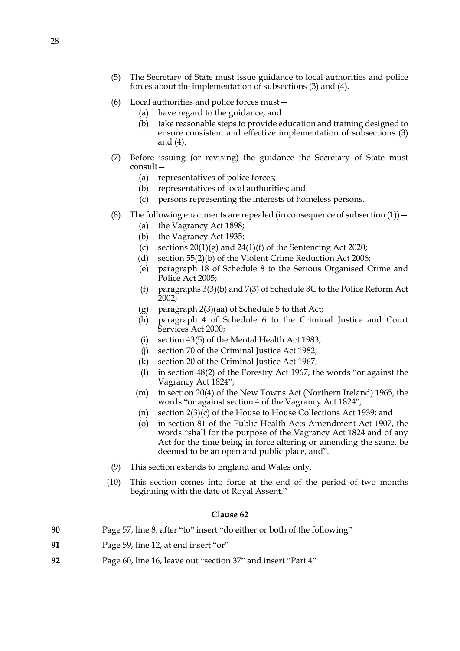- (5) The Secretary of State must issue guidance to local authorities and police forces about the implementation of subsections (3) and (4).
- (6) Local authorities and police forces must—
	- (a) have regard to the guidance; and
	- (b) take reasonable steps to provide education and training designed to ensure consistent and effective implementation of subsections (3) and (4).
- (7) Before issuing (or revising) the guidance the Secretary of State must consult—
	- (a) representatives of police forces;
	- (b) representatives of local authorities; and
	- (c) persons representing the interests of homeless persons.
- (8) The following enactments are repealed (in consequence of subsection  $(1)$ )
	- (a) the Vagrancy Act 1898;
	- (b) the Vagrancy Act 1935;
	- (c) sections  $20(1)(g)$  and  $24(1)(f)$  of the Sentencing Act 2020;
	- (d) section 55(2)(b) of the Violent Crime Reduction Act 2006;
	- (e) paragraph 18 of Schedule 8 to the Serious Organised Crime and Police Act 2005;
	- (f) paragraphs 3(3)(b) and 7(3) of Schedule 3C to the Police Reform Act  $2002;$
	- (g) paragraph 2(3)(aa) of Schedule 5 to that Act;
	- (h) paragraph 4 of Schedule 6 to the Criminal Justice and Court Services Act 2000;
	- (i) section 43(5) of the Mental Health Act 1983;
	- (j) section 70 of the Criminal Justice Act 1982;
	- (k) section 20 of the Criminal Justice Act 1967;
	- (l) in section 48(2) of the Forestry Act 1967, the words "or against the Vagrancy Act 1824";
	- (m) in section 20(4) of the New Towns Act (Northern Ireland) 1965, the words "or against section 4 of the Vagrancy Act 1824";
	- (n) section 2(3)(c) of the House to House Collections Act 1939; and
	- (o) in section 81 of the Public Health Acts Amendment Act 1907, the words "shall for the purpose of the Vagrancy Act 1824 and of any Act for the time being in force altering or amending the same, be deemed to be an open and public place, and".
- (9) This section extends to England and Wales only.
- (10) This section comes into force at the end of the period of two months beginning with the date of Royal Assent."

| 90 | Page 57, line 8, after "to" insert "do either or both of the following" |  |  |  |
|----|-------------------------------------------------------------------------|--|--|--|
|    |                                                                         |  |  |  |

- **91** Page 59, line 12, at end insert "or"
- **92** Page 60, line 16, leave out "section 37" and insert "Part 4"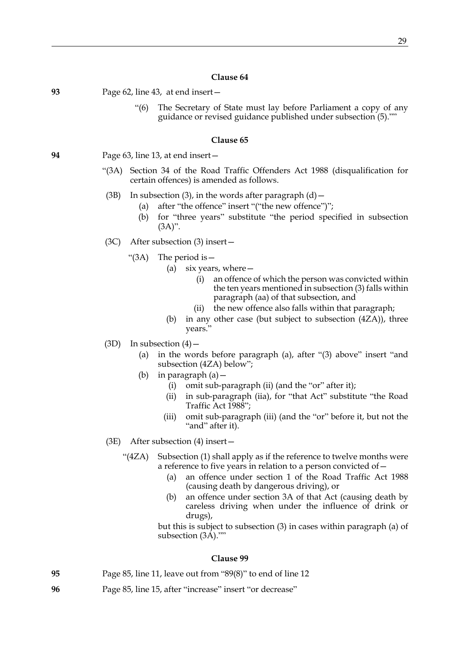**93** Page 62, line 43, at end insert—

"(6) The Secretary of State must lay before Parliament a copy of any guidance or revised guidance published under subsection (5).""

#### **Clause 65**

**94** Page 63, line 13, at end insert—

- "(3A) Section 34 of the Road Traffic Offenders Act 1988 (disqualification for certain offences) is amended as follows.
- (3B) In subsection (3), in the words after paragraph  $(d)$  -
	- (a) after "the offence" insert "("the new offence")";
	- (b) for "three years" substitute "the period specified in subsection  $(3A)$ ".
- (3C) After subsection (3) insert—
	- "(3A) The period is—
		- (a) six years, where—
			- (i) an offence of which the person was convicted within the ten years mentioned in subsection (3) falls within paragraph (aa) of that subsection, and
			- (ii) the new offence also falls within that paragraph;
		- (b) in any other case (but subject to subsection (4ZA)), three years."
- $(3D)$  In subsection  $(4)$ 
	- (a) in the words before paragraph (a), after "(3) above" insert "and subsection (4ZA) below";
	- (b) in paragraph (a)—
		- (i) omit sub-paragraph (ii) (and the "or" after it);
		- (ii) in sub-paragraph (iia), for "that Act" substitute "the Road Traffic Act 1988";
		- (iii) omit sub-paragraph (iii) (and the "or" before it, but not the "and" after it).
- (3E) After subsection (4) insert—
	- "(4ZA) Subsection (1) shall apply as if the reference to twelve months were a reference to five years in relation to a person convicted of—
		- (a) an offence under section 1 of the Road Traffic Act 1988 (causing death by dangerous driving), or
		- (b) an offence under section 3A of that Act (causing death by careless driving when under the influence of drink or drugs),

but this is subject to subsection (3) in cases within paragraph (a) of subsection (3A).""

- **95** Page 85, line 11, leave out from "89(8)" to end of line 12
- **96** Page 85, line 15, after "increase" insert "or decrease"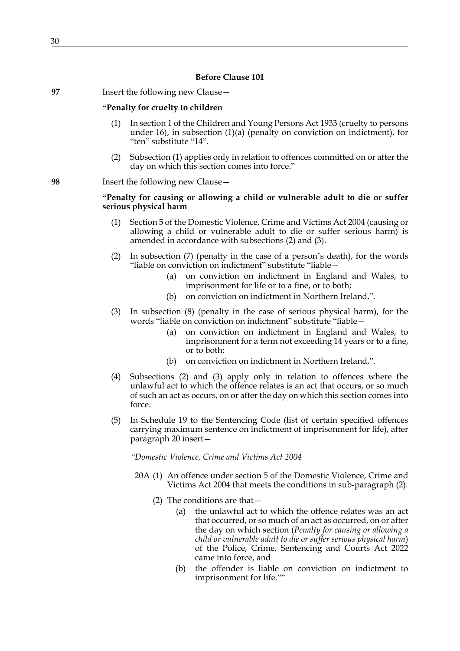| 97 | Insert the following new Clause - |  |
|----|-----------------------------------|--|
|----|-----------------------------------|--|

# **"Penalty for cruelty to children**

- <span id="page-29-0"></span>(1) In section 1 of the Children and Young Persons Act 1933 (cruelty to persons under 16), in subsection (1)(a) (penalty on conviction on indictment), for "ten" substitute "14".
- (2) Subsection [\(1\)](#page-29-0) applies only in relation to offences committed on or after the day on which this section comes into force."

# **98** Insert the following new Clause—

# **"Penalty for causing or allowing a child or vulnerable adult to die or suffer serious physical harm**

- (1) Section 5 of the Domestic Violence, Crime and Victims Act 2004 (causing or allowing a child or vulnerable adult to die or suffer serious harm) is amended in accordance with subsections [\(2\)](#page-29-1) and [\(3\).](#page-29-2)
- <span id="page-29-1"></span>(2) In subsection (7) (penalty in the case of a person's death), for the words "liable on conviction on indictment" substitute "liable—
	- (a) on conviction on indictment in England and Wales, to imprisonment for life or to a fine, or to both;
	- (b) on conviction on indictment in Northern Ireland,".
- <span id="page-29-2"></span>(3) In subsection (8) (penalty in the case of serious physical harm), for the words "liable on conviction on indictment" substitute "liable—
	- (a) on conviction on indictment in England and Wales, to imprisonment for a term not exceeding 14 years or to a fine, or to both;
	- (b) on conviction on indictment in Northern Ireland,".
- (4) Subsections [\(2\)](#page-29-1) and [\(3\)](#page-29-2) apply only in relation to offences where the unlawful act to which the offence relates is an act that occurs, or so much of such an act as occurs, on or after the day on which this section comes into force.
- (5) In Schedule 19 to the Sentencing Code (list of certain specified offences carrying maximum sentence on indictment of imprisonment for life), after paragraph 20 insert—

*"Domestic Violence, Crime and Victims Act 2004*

- 20A (1) An offence under section 5 of the Domestic Violence, Crime and Victims Act 2004 that meets the conditions in sub-paragraph (2).
	- (2) The conditions are that—
		- (a) the unlawful act to which the offence relates was an act that occurred, or so much of an act as occurred, on or after the day on which section (*Penalty for causing or allowing a child or vulnerable adult to die or suffer serious physical harm*) of the Police, Crime, Sentencing and Courts Act 2022 came into force, and
		- (b) the offender is liable on conviction on indictment to imprisonment for life.""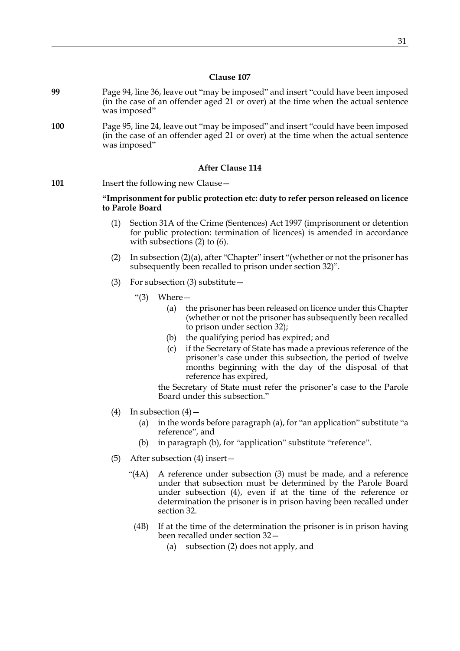- **99** Page 94, line 36, leave out "may be imposed" and insert "could have been imposed (in the case of an offender aged 21 or over) at the time when the actual sentence was imposed"
- **100** Page 95, line 24, leave out "may be imposed" and insert "could have been imposed (in the case of an offender aged 21 or over) at the time when the actual sentence was imposed"

# **After Clause 114**

101 Insert the following new Clause -

# **"Imprisonment for public protection etc: duty to refer person released on licence to Parole Board**

- (1) Section 31A of the Crime (Sentences) Act 1997 (imprisonment or detention for public protection: termination of licences) is amended in accordance with subsections [\(2\)](#page-30-0) to [\(6\)](#page-31-0).
- <span id="page-30-0"></span>(2) In subsection (2)(a), after "Chapter" insert "(whether or not the prisoner has subsequently been recalled to prison under section 32)".
- (3) For subsection (3) substitute—
	- "(3) Where—
		- (a) the prisoner has been released on licence under this Chapter (whether or not the prisoner has subsequently been recalled to prison under section 32);
		- (b) the qualifying period has expired; and
		- (c) if the Secretary of State has made a previous reference of the prisoner's case under this subsection, the period of twelve months beginning with the day of the disposal of that reference has expired,

the Secretary of State must refer the prisoner's case to the Parole Board under this subsection."

- (4) In subsection  $(4)$  -
	- (a) in the words before paragraph (a), for "an application" substitute "a reference", and
	- (b) in paragraph (b), for "application" substitute "reference".
- (5) After subsection (4) insert—
	- "(4A) A reference under subsection (3) must be made, and a reference under that subsection must be determined by the Parole Board under subsection (4), even if at the time of the reference or determination the prisoner is in prison having been recalled under section 32.
		- (4B) If at the time of the determination the prisoner is in prison having been recalled under section 32—
			- (a) subsection (2) does not apply, and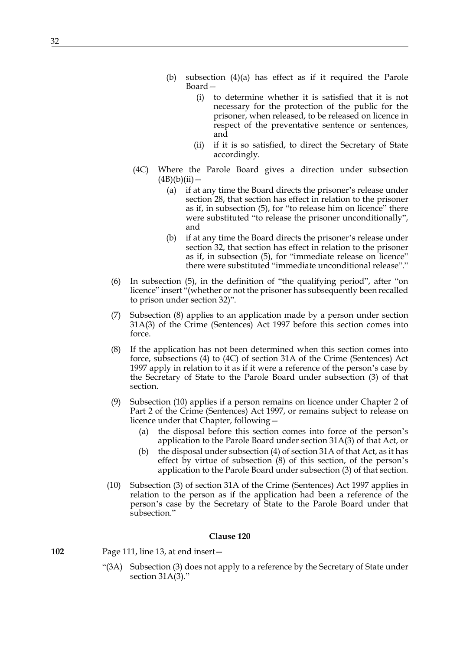- (b) subsection (4)(a) has effect as if it required the Parole Board—
	- (i) to determine whether it is satisfied that it is not necessary for the protection of the public for the prisoner, when released, to be released on licence in respect of the preventative sentence or sentences, and
	- (ii) if it is so satisfied, to direct the Secretary of State accordingly.
- (4C) Where the Parole Board gives a direction under subsection  $(4B)(b)(ii)$  —
	- (a) if at any time the Board directs the prisoner's release under section 28, that section has effect in relation to the prisoner as if, in subsection (5), for "to release him on licence" there were substituted "to release the prisoner unconditionally", and
	- (b) if at any time the Board directs the prisoner's release under section 32, that section has effect in relation to the prisoner as if, in subsection (5), for "immediate release on licence" there were substituted "immediate unconditional release"."
- <span id="page-31-0"></span>(6) In subsection (5), in the definition of "the qualifying period", after "on licence" insert "(whether or not the prisoner has subsequently been recalled to prison under section 32)".
- (7) Subsection [\(8\)](#page-31-1) applies to an application made by a person under section 31A(3) of the Crime (Sentences) Act 1997 before this section comes into force.
- <span id="page-31-1"></span>(8) If the application has not been determined when this section comes into force, subsections (4) to (4C) of section 31A of the Crime (Sentences) Act 1997 apply in relation to it as if it were a reference of the person's case by the Secretary of State to the Parole Board under subsection (3) of that section.
- (9) Subsection [\(10\)](#page-31-2) applies if a person remains on licence under Chapter 2 of Part 2 of the Crime (Sentences) Act 1997, or remains subject to release on licence under that Chapter, following—
	- (a) the disposal before this section comes into force of the person's application to the Parole Board under section 31A(3) of that Act, or
	- (b) the disposal under subsection (4) of section 31A of that Act, as it has effect by virtue of subsection [\(8\)](#page-31-1) of this section, of the person's application to the Parole Board under subsection (3) of that section.
- <span id="page-31-2"></span>(10) Subsection (3) of section 31A of the Crime (Sentences) Act 1997 applies in relation to the person as if the application had been a reference of the person's case by the Secretary of State to the Parole Board under that subsection."

**102** Page 111, line 13, at end insert—

"(3A) Subsection (3) does not apply to a reference by the Secretary of State under section 31A(3)."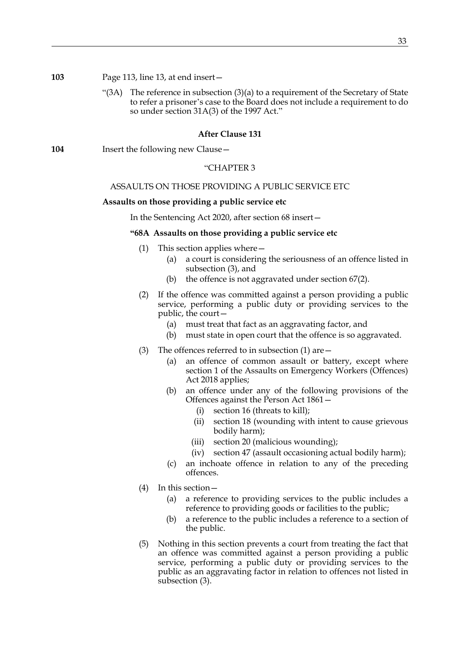"(3A) The reference in subsection  $(3)(a)$  to a requirement of the Secretary of State to refer a prisoner's case to the Board does not include a requirement to do so under section 31A(3) of the 1997 Act."

# **After Clause 131**

**104** Insert the following new Clause -

# "CHAPTER 3

# ASSAULTS ON THOSE PROVIDING A PUBLIC SERVICE ETC

# **Assaults on those providing a public service etc**

In the Sentencing Act 2020, after section 68 insert—

# **"68A Assaults on those providing a public service etc**

- (1) This section applies where—
	- (a) a court is considering the seriousness of an offence listed in subsection (3), and
	- (b) the offence is not aggravated under section 67(2).
- (2) If the offence was committed against a person providing a public service, performing a public duty or providing services to the public, the court—
	- (a) must treat that fact as an aggravating factor, and
	- (b) must state in open court that the offence is so aggravated.
- (3) The offences referred to in subsection (1) are—
	- (a) an offence of common assault or battery, except where section 1 of the Assaults on Emergency Workers (Offences) Act 2018 applies;
	- (b) an offence under any of the following provisions of the Offences against the Person Act 1861—
		- (i) section 16 (threats to kill);
		- (ii) section 18 (wounding with intent to cause grievous bodily harm);
		- (iii) section 20 (malicious wounding);
		- (iv) section 47 (assault occasioning actual bodily harm);
	- (c) an inchoate offence in relation to any of the preceding offences.
- (4) In this section—
	- (a) a reference to providing services to the public includes a reference to providing goods or facilities to the public;
	- (b) a reference to the public includes a reference to a section of the public.
- (5) Nothing in this section prevents a court from treating the fact that an offence was committed against a person providing a public service, performing a public duty or providing services to the public as an aggravating factor in relation to offences not listed in subsection (3).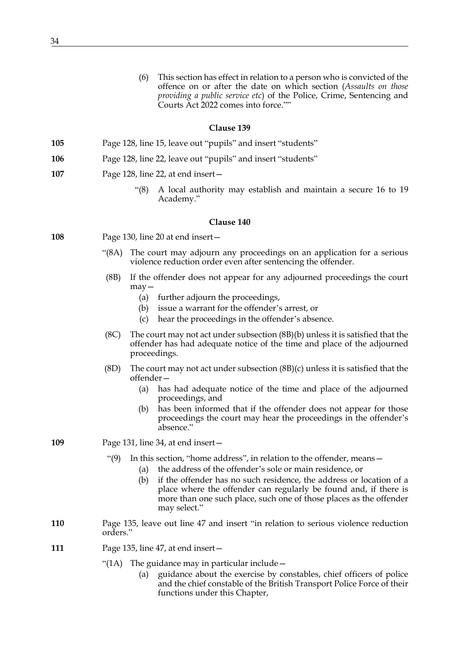(6) This section has effect in relation to a person who is convicted of the offence on or after the date on which section (*Assaults on those providing a public service etc*) of the Police, Crime, Sentencing and Courts Act 2022 comes into force.""

# **Clause 139**

- **105** Page 128, line 15, leave out "pupils" and insert "students"
- **106** Page 128, line 22, leave out "pupils" and insert "students"
- **107** Page 128, line 22, at end insert—
	- "(8) A local authority may establish and maintain a secure 16 to 19 Academy."

- **108** Page 130, line 20 at end insert—
	- "(8A) The court may adjourn any proceedings on an application for a serious violence reduction order even after sentencing the offender.
	- (8B) If the offender does not appear for any adjourned proceedings the court may—
		- (a) further adjourn the proceedings,
		- (b) issue a warrant for the offender's arrest, or
		- (c) hear the proceedings in the offender's absence.
	- (8C) The court may not act under subsection (8B)(b) unless it is satisfied that the offender has had adequate notice of the time and place of the adjourned proceedings.
	- (8D) The court may not act under subsection (8B)(c) unless it is satisfied that the offender—
		- (a) has had adequate notice of the time and place of the adjourned proceedings, and
		- (b) has been informed that if the offender does not appear for those proceedings the court may hear the proceedings in the offender's absence."
- **109** Page 131, line 34, at end insert—
	- "(9) In this section, "home address", in relation to the offender, means—
		- (a) the address of the offender's sole or main residence, or
			- (b) if the offender has no such residence, the address or location of a place where the offender can regularly be found and, if there is more than one such place, such one of those places as the offender may select."
- **110** Page 135, leave out line 47 and insert "in relation to serious violence reduction orders."
- **111** Page 135, line 47, at end insert—
	- "(1A) The guidance may in particular include  $-$ 
		- (a) guidance about the exercise by constables, chief officers of police and the chief constable of the British Transport Police Force of their functions under this Chapter,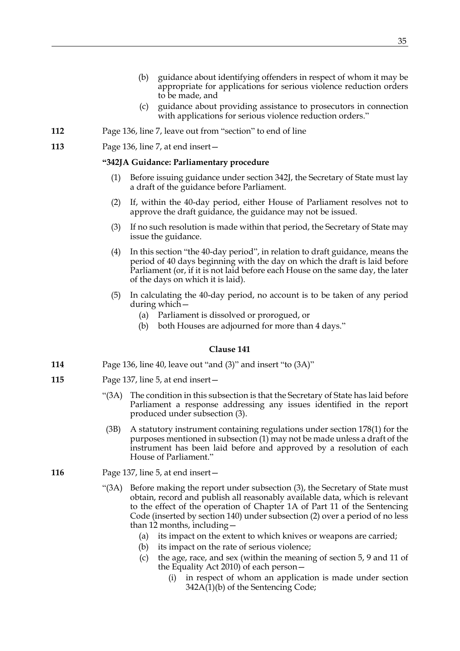- (c) guidance about providing assistance to prosecutors in connection with applications for serious violence reduction orders."
- **112** Page 136, line 7, leave out from "section" to end of line
- **113** Page 136, line 7, at end insert—

# **"342JA Guidance: Parliamentary procedure**

- Before issuing guidance under section 342J, the Secretary of State must lay a draft of the guidance before Parliament.
- (2) If, within the 40-day period, either House of Parliament resolves not to approve the draft guidance, the guidance may not be issued.
- (3) If no such resolution is made within that period, the Secretary of State may issue the guidance.
- (4) In this section "the 40-day period", in relation to draft guidance, means the period of 40 days beginning with the day on which the draft is laid before Parliament (or, if it is not laid before each House on the same day, the later of the days on which it is laid).
- (5) In calculating the 40-day period, no account is to be taken of any period during which—
	- (a) Parliament is dissolved or prorogued, or
	- (b) both Houses are adjourned for more than 4 days."

- **114** Page 136, line 40, leave out "and (3)" and insert "to (3A)"
- **115** Page 137, line 5, at end insert—
	- "(3A) The condition in this subsection is that the Secretary of State has laid before Parliament a response addressing any issues identified in the report produced under subsection (3).
	- (3B) A statutory instrument containing regulations under section 178(1) for the purposes mentioned in subsection (1) may not be made unless a draft of the instrument has been laid before and approved by a resolution of each House of Parliament."
- **116** Page 137, line 5, at end insert—
	- "(3A) Before making the report under subsection (3), the Secretary of State must obtain, record and publish all reasonably available data, which is relevant to the effect of the operation of Chapter 1A of Part 11 of the Sentencing Code (inserted by section 140) under subsection (2) over a period of no less than 12 months, including—
		- (a) its impact on the extent to which knives or weapons are carried;
		- (b) its impact on the rate of serious violence;
		- (c) the age, race, and sex (within the meaning of section 5, 9 and 11 of the Equality Act 2010) of each person—
			- (i) in respect of whom an application is made under section 342A(1)(b) of the Sentencing Code;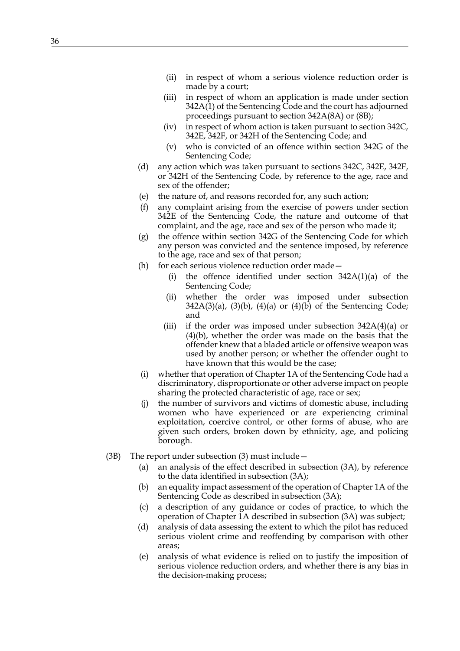- (ii) in respect of whom a serious violence reduction order is made by a court;
- (iii) in respect of whom an application is made under section 342A(1) of the Sentencing Code and the court has adjourned proceedings pursuant to section 342A(8A) or (8B);
- (iv) in respect of whom action is taken pursuant to section 342C, 342E, 342F, or 342H of the Sentencing Code; and
- (v) who is convicted of an offence within section 342G of the Sentencing Code;
- (d) any action which was taken pursuant to sections 342C, 342E, 342F, or 342H of the Sentencing Code, by reference to the age, race and sex of the offender;
- (e) the nature of, and reasons recorded for, any such action;
- (f) any complaint arising from the exercise of powers under section 342E of the Sentencing Code, the nature and outcome of that complaint, and the age, race and sex of the person who made it;
- (g) the offence within section 342G of the Sentencing Code for which any person was convicted and the sentence imposed, by reference to the age, race and sex of that person;
- (h) for each serious violence reduction order made—
	- (i) the offence identified under section 342A(1)(a) of the Sentencing Code;
	- (ii) whether the order was imposed under subsection  $342A(3)(a)$ ,  $(3)(b)$ ,  $(4)(a)$  or  $(4)(b)$  of the Sentencing Code; and
	- (iii) if the order was imposed under subsection 342A(4)(a) or (4)(b), whether the order was made on the basis that the offender knew that a bladed article or offensive weapon was used by another person; or whether the offender ought to have known that this would be the case;
- (i) whether that operation of Chapter 1A of the Sentencing Code had a discriminatory, disproportionate or other adverse impact on people sharing the protected characteristic of age, race or sex;
- (j) the number of survivors and victims of domestic abuse, including women who have experienced or are experiencing criminal exploitation, coercive control, or other forms of abuse, who are given such orders, broken down by ethnicity, age, and policing borough.
- (3B) The report under subsection (3) must include—
	- (a) an analysis of the effect described in subsection (3A), by reference to the data identified in subsection (3A);
	- (b) an equality impact assessment of the operation of Chapter 1A of the Sentencing Code as described in subsection (3A);
	- (c) a description of any guidance or codes of practice, to which the operation of Chapter 1A described in subsection (3A) was subject;
	- (d) analysis of data assessing the extent to which the pilot has reduced serious violent crime and reoffending by comparison with other areas;
	- (e) analysis of what evidence is relied on to justify the imposition of serious violence reduction orders, and whether there is any bias in the decision-making process;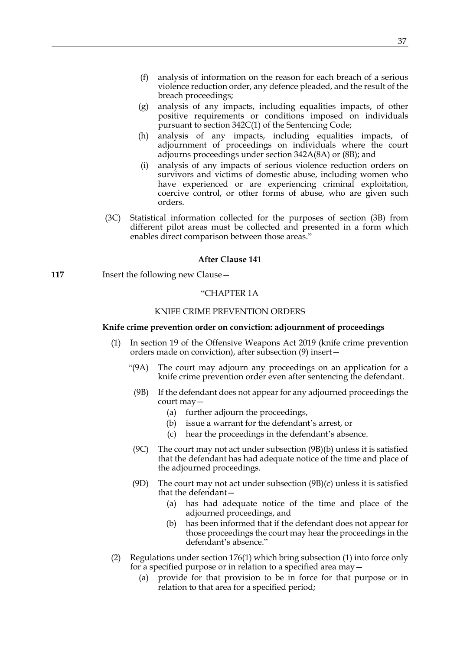- (f) analysis of information on the reason for each breach of a serious violence reduction order, any defence pleaded, and the result of the breach proceedings;
- (g) analysis of any impacts, including equalities impacts, of other positive requirements or conditions imposed on individuals pursuant to section 342C(1) of the Sentencing Code;
- (h) analysis of any impacts, including equalities impacts, of adjournment of proceedings on individuals where the court adjourns proceedings under section 342A(8A) or (8B); and
- (i) analysis of any impacts of serious violence reduction orders on survivors and victims of domestic abuse, including women who have experienced or are experiencing criminal exploitation, coercive control, or other forms of abuse, who are given such orders.
- (3C) Statistical information collected for the purposes of section (3B) from different pilot areas must be collected and presented in a form which enables direct comparison between those areas."

# **After Clause 141**

**117** Insert the following new Clause -

# "CHAPTER 1A

# KNIFE CRIME PREVENTION ORDERS

# **Knife crime prevention order on conviction: adjournment of proceedings**

- <span id="page-36-0"></span>(1) In section 19 of the Offensive Weapons Act 2019 (knife crime prevention orders made on conviction), after subsection (9) insert—
	- "(9A) The court may adjourn any proceedings on an application for a knife crime prevention order even after sentencing the defendant.
	- (9B) If the defendant does not appear for any adjourned proceedings the court may—
		- (a) further adjourn the proceedings,
		- (b) issue a warrant for the defendant's arrest, or
		- (c) hear the proceedings in the defendant's absence.
	- (9C) The court may not act under subsection (9B)(b) unless it is satisfied that the defendant has had adequate notice of the time and place of the adjourned proceedings.
	- (9D) The court may not act under subsection (9B)(c) unless it is satisfied that the defendant—
		- (a) has had adequate notice of the time and place of the adjourned proceedings, and
		- (b) has been informed that if the defendant does not appear for those proceedings the court may hear the proceedings in the defendant's absence."
- <span id="page-36-1"></span>(2) Regulations under section 176(1) which bring subsection [\(1\)](#page-36-0) into force only for a specified purpose or in relation to a specified area may—
	- (a) provide for that provision to be in force for that purpose or in relation to that area for a specified period;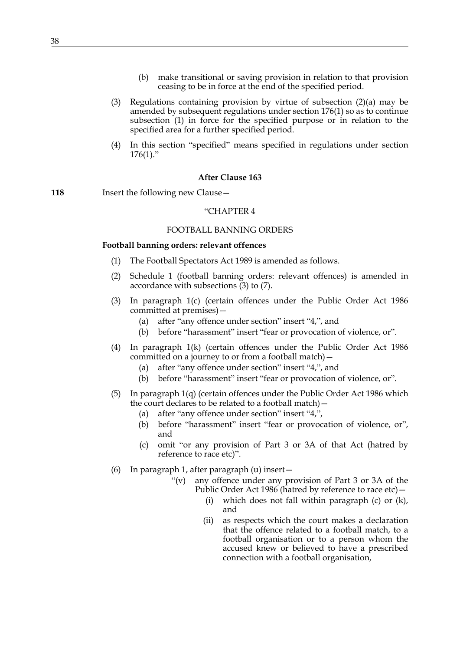- (b) make transitional or saving provision in relation to that provision ceasing to be in force at the end of the specified period.
- (3) Regulations containing provision by virtue of subsection  $(2)(a)$  may be amended by subsequent regulations under section 176(1) so as to continue subsection [\(1\)](#page-36-0) in force for the specified purpose or in relation to the specified area for a further specified period.
- (4) In this section "specified" means specified in regulations under section  $176(1)$ ."

#### **After Clause 163**

**118** Insert the following new Clause —

# "CHAPTER 4

#### FOOTBALL BANNING ORDERS

#### **Football banning orders: relevant offences**

- (1) The Football Spectators Act 1989 is amended as follows.
- (2) Schedule 1 (football banning orders: relevant offences) is amended in accordance with subsections [\(3\)](#page-37-0) to [\(7\)](#page-38-0).
- <span id="page-37-0"></span>(3) In paragraph 1(c) (certain offences under the Public Order Act 1986 committed at premises)—
	- (a) after "any offence under section" insert "4,", and
	- (b) before "harassment" insert "fear or provocation of violence, or".
- (4) In paragraph 1(k) (certain offences under the Public Order Act 1986 committed on a journey to or from a football match)—
	- (a) after "any offence under section" insert "4,", and
	- (b) before "harassment" insert "fear or provocation of violence, or".
- (5) In paragraph 1(q) (certain offences under the Public Order Act 1986 which the court declares to be related to a football match)—
	- (a) after "any offence under section" insert "4,",
	- (b) before "harassment" insert "fear or provocation of violence, or", and
	- (c) omit "or any provision of Part 3 or 3A of that Act (hatred by reference to race etc)".
- (6) In paragraph 1, after paragraph (u) insert—
	- "(v) any offence under any provision of Part 3 or 3A of the Public Order Act 1986 (hatred by reference to race etc)—
		- (i) which does not fall within paragraph (c) or (k), and
		- (ii) as respects which the court makes a declaration that the offence related to a football match, to a football organisation or to a person whom the accused knew or believed to have a prescribed connection with a football organisation,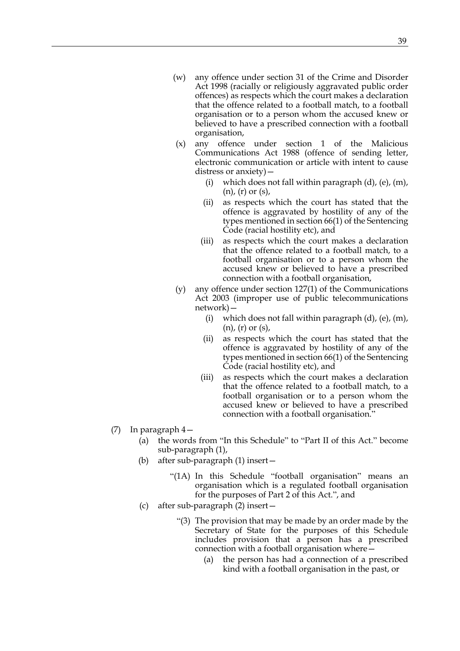- (w) any offence under section 31 of the Crime and Disorder Act 1998 (racially or religiously aggravated public order offences) as respects which the court makes a declaration that the offence related to a football match, to a football organisation or to a person whom the accused knew or believed to have a prescribed connection with a football organisation,
- (x) any offence under section 1 of the Malicious Communications Act 1988 (offence of sending letter, electronic communication or article with intent to cause distress or anxiety)—
	- (i) which does not fall within paragraph  $(d)$ ,  $(e)$ ,  $(m)$ , (n), (r) or (s),
	- (ii) as respects which the court has stated that the offence is aggravated by hostility of any of the types mentioned in section 66(1) of the Sentencing Code (racial hostility etc), and
	- (iii) as respects which the court makes a declaration that the offence related to a football match, to a football organisation or to a person whom the accused knew or believed to have a prescribed connection with a football organisation,
- (y) any offence under section 127(1) of the Communications Act 2003 (improper use of public telecommunications network)—
	- (i) which does not fall within paragraph  $(d)$ ,  $(e)$ ,  $(m)$ , (n), (r) or (s),
	- (ii) as respects which the court has stated that the offence is aggravated by hostility of any of the types mentioned in section 66(1) of the Sentencing Code (racial hostility etc), and
	- (iii) as respects which the court makes a declaration that the offence related to a football match, to a football organisation or to a person whom the accused knew or believed to have a prescribed connection with a football organisation."
- <span id="page-38-0"></span>(7) In paragraph 4—
	- (a) the words from "In this Schedule" to "Part II of this Act." become sub-paragraph (1),
	- (b) after sub-paragraph (1) insert—
		- "(1A) In this Schedule "football organisation" means an organisation which is a regulated football organisation for the purposes of Part 2 of this Act.", and
	- (c) after sub-paragraph (2) insert—
		- "(3) The provision that may be made by an order made by the Secretary of State for the purposes of this Schedule includes provision that a person has a prescribed connection with a football organisation where—
			- (a) the person has had a connection of a prescribed kind with a football organisation in the past, or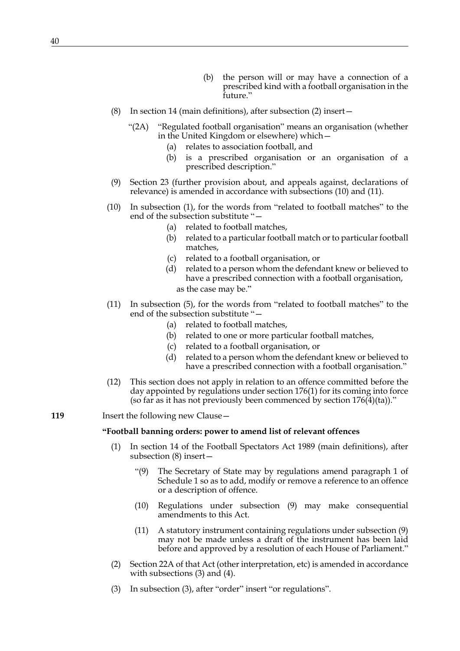- (b) the person will or may have a connection of a prescribed kind with a football organisation in the future."
- (8) In section 14 (main definitions), after subsection (2) insert—
	- "(2A) "Regulated football organisation" means an organisation (whether in the United Kingdom or elsewhere) which—
		- (a) relates to association football, and
		- (b) is a prescribed organisation or an organisation of a prescribed description."
- (9) Section 23 (further provision about, and appeals against, declarations of relevance) is amended in accordance with subsections [\(10\)](#page-39-0) and [\(11\)](#page-39-1).
- <span id="page-39-0"></span>(10) In subsection (1), for the words from "related to football matches" to the end of the subsection substitute "—
	- (a) related to football matches,
	- (b) related to a particular football match or to particular football matches,
	- (c) related to a football organisation, or
	- (d) related to a person whom the defendant knew or believed to have a prescribed connection with a football organisation, as the case may be."
- <span id="page-39-1"></span>(11) In subsection (5), for the words from "related to football matches" to the end of the subsection substitute "—
	- (a) related to football matches,
	- (b) related to one or more particular football matches,
	- (c) related to a football organisation, or
	- (d) related to a person whom the defendant knew or believed to have a prescribed connection with a football organisation."
- (12) This section does not apply in relation to an offence committed before the day appointed by regulations under section 176(1) for its coming into force (so far as it has not previously been commenced by section  $176(4)(ta)$ )."
- **119** Insert the following new Clause -

# **"Football banning orders: power to amend list of relevant offences**

- <span id="page-39-2"></span>(1) In section 14 of the Football Spectators Act 1989 (main definitions), after subsection (8) insert—
	- "(9) The Secretary of State may by regulations amend paragraph 1 of Schedule 1 so as to add, modify or remove a reference to an offence or a description of offence.
	- (10) Regulations under subsection [\(9\)](#page-39-2) may make consequential amendments to this Act.
	- (11) A statutory instrument containing regulations under subsection [\(9\)](#page-39-2) may not be made unless a draft of the instrument has been laid before and approved by a resolution of each House of Parliament."
- (2) Section 22A of that Act (other interpretation, etc) is amended in accordance with subsections [\(3\)](#page-39-3) and [\(4\)](#page-40-0).
- <span id="page-39-3"></span>(3) In subsection (3), after "order" insert "or regulations".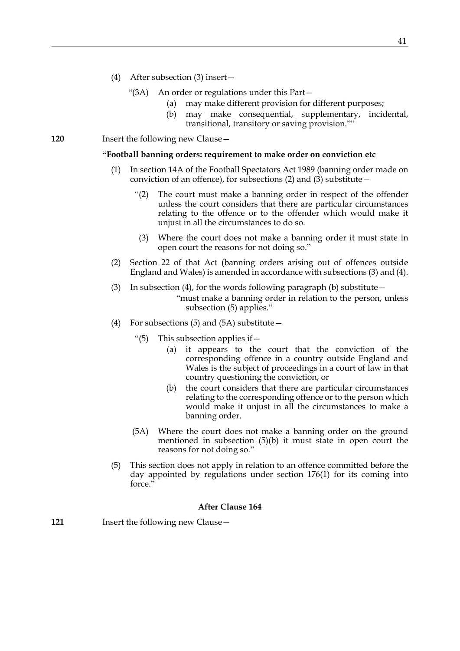- <span id="page-40-0"></span>(4) After subsection (3) insert—
	- "(3A) An order or regulations under this Part—
		- (a) may make different provision for different purposes;
		- (b) may make consequential, supplementary, incidental, transitional, transitory or saving provision.""

**120** Insert the following new Clause -

#### **"Football banning orders: requirement to make order on conviction etc**

- (1) In section 14A of the Football Spectators Act 1989 (banning order made on conviction of an offence), for subsections (2) and (3) substitute—
	- "(2) The court must make a banning order in respect of the offender unless the court considers that there are particular circumstances relating to the offence or to the offender which would make it unjust in all the circumstances to do so.
	- (3) Where the court does not make a banning order it must state in open court the reasons for not doing so."
- (2) Section 22 of that Act (banning orders arising out of offences outside England and Wales) is amended in accordance with subsections [\(3\)](#page-40-1) and [\(4\).](#page-40-2)
- <span id="page-40-1"></span>(3) In subsection (4), for the words following paragraph (b) substitute  $-$ "must make a banning order in relation to the person, unless subsection (5) applies."
- <span id="page-40-2"></span>(4) For subsections (5) and (5A) substitute—
	- "(5) This subsection applies if—
		- (a) it appears to the court that the conviction of the corresponding offence in a country outside England and Wales is the subject of proceedings in a court of law in that country questioning the conviction, or
		- (b) the court considers that there are particular circumstances relating to the corresponding offence or to the person which would make it unjust in all the circumstances to make a banning order.
	- (5A) Where the court does not make a banning order on the ground mentioned in subsection (5)(b) it must state in open court the reasons for not doing so."
- (5) This section does not apply in relation to an offence committed before the day appointed by regulations under section 176(1) for its coming into force."

# **After Clause 164**

**121** Insert the following new Clause—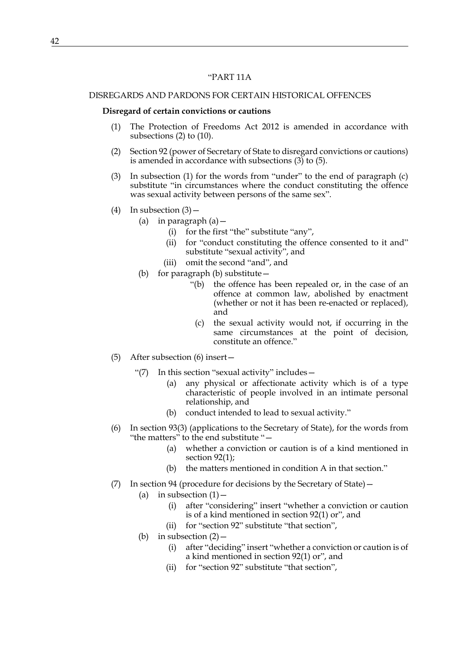# "PART 11A

#### DISREGARDS AND PARDONS FOR CERTAIN HISTORICAL OFFENCES

# **Disregard of certain convictions or cautions**

- (1) The Protection of Freedoms Act 2012 is amended in accordance with subsections [\(2\)](#page-41-0) to [\(10\)](#page-42-0).
- <span id="page-41-0"></span>(2) Section 92 (power of Secretary of State to disregard convictions or cautions) is amended in accordance with subsections  $(3)$  to  $(5)$ .
- <span id="page-41-1"></span>(3) In subsection (1) for the words from "under" to the end of paragraph (c) substitute "in circumstances where the conduct constituting the offence was sexual activity between persons of the same sex".
- (4) In subsection  $(3)$ 
	- (a) in paragraph  $(a)$  -
		- (i) for the first "the" substitute "any",
		- (ii) for "conduct constituting the offence consented to it and" substitute "sexual activity", and
		- (iii) omit the second "and", and
	- (b) for paragraph (b) substitute—
		- "(b) the offence has been repealed or, in the case of an offence at common law, abolished by enactment (whether or not it has been re-enacted or replaced), and
		- (c) the sexual activity would not, if occurring in the same circumstances at the point of decision, constitute an offence."
- <span id="page-41-2"></span>(5) After subsection (6) insert—
	- "(7) In this section "sexual activity" includes—
		- (a) any physical or affectionate activity which is of a type characteristic of people involved in an intimate personal relationship, and
		- (b) conduct intended to lead to sexual activity."
- (6) In section 93(3) (applications to the Secretary of State), for the words from "the matters" to the end substitute "—
	- (a) whether a conviction or caution is of a kind mentioned in section 92(1);
	- (b) the matters mentioned in condition A in that section."
- (7) In section 94 (procedure for decisions by the Secretary of State)—
	- (a) in subsection  $(1)$  -
		- (i) after "considering" insert "whether a conviction or caution is of a kind mentioned in section 92(1) or", and
		- (ii) for "section 92" substitute "that section",
	- (b) in subsection  $(2)$ 
		- (i) after "deciding" insert "whether a conviction or caution is of a kind mentioned in section 92(1) or", and
		- (ii) for "section 92" substitute "that section",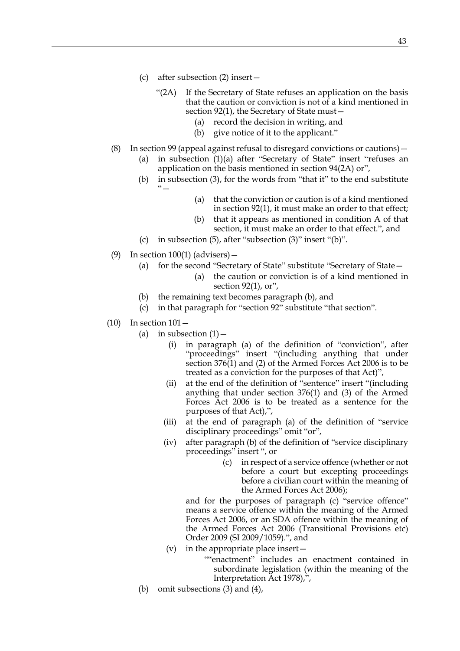- (c) after subsection (2) insert—
	- "(2A) If the Secretary of State refuses an application on the basis that the caution or conviction is not of a kind mentioned in section 92(1), the Secretary of State must—
		- (a) record the decision in writing, and
		- (b) give notice of it to the applicant."
- (8) In section 99 (appeal against refusal to disregard convictions or cautions)— (a) in subsection (1)(a) after "Secretary of State" insert "refuses an application on the basis mentioned in section 94(2A) or",
	- (b) in subsection (3), for the words from "that it" to the end substitute  $"`$ 
		- (a) that the conviction or caution is of a kind mentioned in section 92(1), it must make an order to that effect;
		- (b) that it appears as mentioned in condition A of that section, it must make an order to that effect.", and
	- (c) in subsection  $(5)$ , after "subsection  $(3)$ " insert " $(b)$ ".
- (9) In section  $100(1)$  (advisers)
	- (a) for the second "Secretary of State" substitute "Secretary of State—
		- (a) the caution or conviction is of a kind mentioned in section 92(1), or",
	- (b) the remaining text becomes paragraph (b), and
	- (c) in that paragraph for "section 92" substitute "that section".
- <span id="page-42-0"></span>(10) In section 101—
	- (a) in subsection  $(1)$ 
		- (i) in paragraph (a) of the definition of "conviction", after "proceedings" insert "(including anything that under section 376(1) and (2) of the Armed Forces Act 2006 is to be treated as a conviction for the purposes of that Act)",
		- (ii) at the end of the definition of "sentence" insert "(including anything that under section 376(1) and (3) of the Armed Forces Act 2006 is to be treated as a sentence for the purposes of that Act),",
		- (iii) at the end of paragraph (a) of the definition of "service disciplinary proceedings" omit "or",
		- (iv) after paragraph (b) of the definition of "service disciplinary proceedings" insert ", or
			- (c) in respect of a service offence (whether or not before a court but excepting proceedings before a civilian court within the meaning of the Armed Forces Act 2006);

and for the purposes of paragraph (c) "service offence" means a service offence within the meaning of the Armed Forces Act 2006, or an SDA offence within the meaning of the Armed Forces Act 2006 (Transitional Provisions etc) Order 2009 (SI 2009/1059).", and

- (v) in the appropriate place insert—
	- ""enactment" includes an enactment contained in subordinate legislation (within the meaning of the Interpretation Act 1978),",
- (b) omit subsections (3) and (4),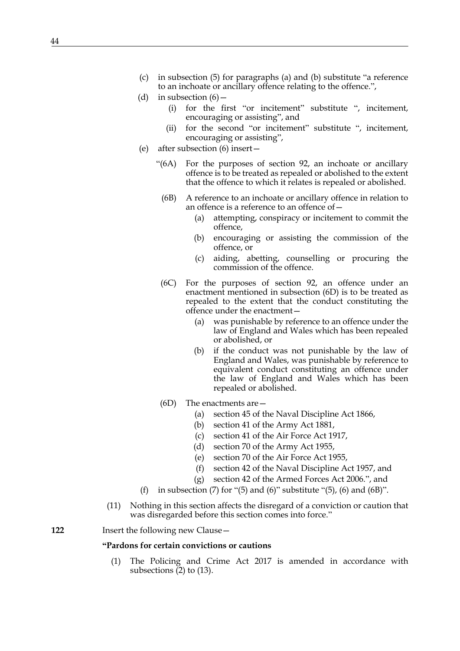- (c) in subsection (5) for paragraphs (a) and (b) substitute "a reference to an inchoate or ancillary offence relating to the offence.",
- (d) in subsection  $(6)$ 
	- (i) for the first "or incitement" substitute ", incitement, encouraging or assisting", and
	- (ii) for the second "or incitement" substitute ", incitement, encouraging or assisting",
- (e) after subsection (6) insert—
	- "(6A) For the purposes of section 92, an inchoate or ancillary offence is to be treated as repealed or abolished to the extent that the offence to which it relates is repealed or abolished.
		- (6B) A reference to an inchoate or ancillary offence in relation to an offence is a reference to an offence of—
			- (a) attempting, conspiracy or incitement to commit the offence,
			- (b) encouraging or assisting the commission of the offence, or
			- (c) aiding, abetting, counselling or procuring the commission of the offence.
		- (6C) For the purposes of section 92, an offence under an enactment mentioned in subsection (6D) is to be treated as repealed to the extent that the conduct constituting the offence under the enactment—
			- (a) was punishable by reference to an offence under the law of England and Wales which has been repealed or abolished, or
			- (b) if the conduct was not punishable by the law of England and Wales, was punishable by reference to equivalent conduct constituting an offence under the law of England and Wales which has been repealed or abolished.
	- (6D) The enactments are—
		- (a) section 45 of the Naval Discipline Act 1866,
		- (b) section 41 of the Army Act 1881,
		- (c) section 41 of the Air Force Act 1917,
		- (d) section 70 of the Army Act 1955,
		- (e) section 70 of the Air Force Act 1955,
		- (f) section 42 of the Naval Discipline Act 1957, and
		- (g) section 42 of the Armed Forces Act 2006.", and
- (f) in subsection (7) for "(5) and (6)" substitute "(5), (6) and (6B)".
- (11) Nothing in this section affects the disregard of a conviction or caution that was disregarded before this section comes into force."

**122** Insert the following new Clause—

# **"Pardons for certain convictions or cautions**

(1) The Policing and Crime Act 2017 is amended in accordance with subsections  $(2)$  to  $(13)$ .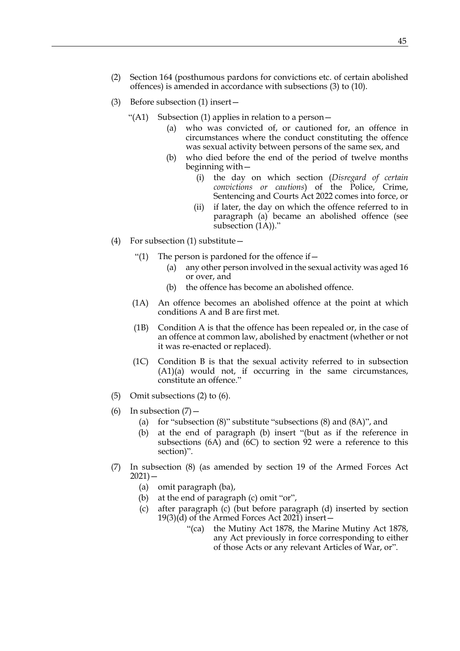- <span id="page-44-0"></span>(2) Section 164 (posthumous pardons for convictions etc. of certain abolished offences) is amended in accordance with subsections [\(3\)](#page-44-1) to (10).
- <span id="page-44-1"></span>(3) Before subsection (1) insert—
	- "(A1) Subsection (1) applies in relation to a person $-$ 
		- (a) who was convicted of, or cautioned for, an offence in circumstances where the conduct constituting the offence was sexual activity between persons of the same sex, and
		- (b) who died before the end of the period of twelve months beginning with—
			- (i) the day on which section (*Disregard of certain convictions or cautions*) of the Police, Crime, Sentencing and Courts Act 2022 comes into force, or
			- (ii) if later, the day on which the offence referred to in paragraph (a) became an abolished offence (see subsection (1A))."
- (4) For subsection (1) substitute—
	- "(1) The person is pardoned for the offence if  $-$ 
		- (a) any other person involved in the sexual activity was aged 16 or over, and
		- (b) the offence has become an abolished offence.
	- (1A) An offence becomes an abolished offence at the point at which conditions A and B are first met.
	- (1B) Condition A is that the offence has been repealed or, in the case of an offence at common law, abolished by enactment (whether or not it was re-enacted or replaced).
	- (1C) Condition B is that the sexual activity referred to in subsection (A1)(a) would not, if occurring in the same circumstances, constitute an offence."
- (5) Omit subsections (2) to (6).
- (6) In subsection  $(7)$  -
	- (a) for "subsection (8)" substitute "subsections (8) and (8A)", and
	- (b) at the end of paragraph (b) insert "(but as if the reference in subsections (6A) and (6C) to section 92 were a reference to this section)".
- (7) In subsection (8) (as amended by section 19 of the Armed Forces Act  $2021$ ) —
	- (a) omit paragraph (ba),
	- (b) at the end of paragraph (c) omit "or",
	- (c) after paragraph (c) (but before paragraph (d) inserted by section 19(3)(d) of the Armed Forces Act 2021) insert—
		- "(ca) the Mutiny Act 1878, the Marine Mutiny Act 1878, any Act previously in force corresponding to either of those Acts or any relevant Articles of War, or".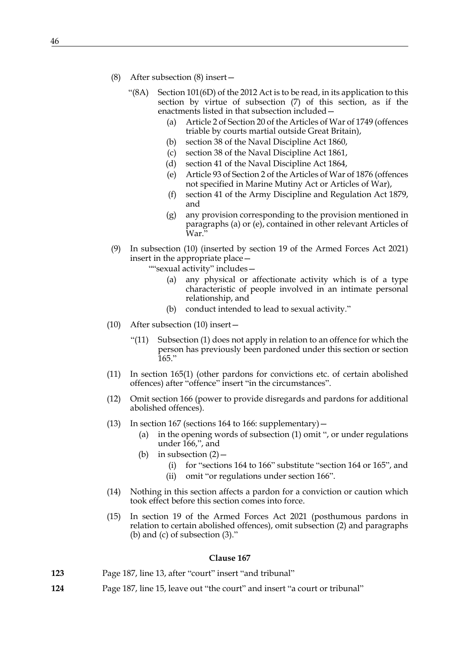- <span id="page-45-1"></span>(8) After subsection (8) insert—
	- "(8A) Section 101(6D) of the 2012 Act is to be read, in its application to this section by virtue of subsection (7) of this section, as if the enactments listed in that subsection included—
		- (a) Article 2 of Section 20 of the Articles of War of 1749 (offences triable by courts martial outside Great Britain),
		- (b) section 38 of the Naval Discipline Act 1860,
		- (c) section 38 of the Naval Discipline Act 1861,
		- (d) section 41 of the Naval Discipline Act 1864,
		- (e) Article 93 of Section 2 of the Articles of War of 1876 (offences not specified in Marine Mutiny Act or Articles of War),
		- (f) section 41 of the Army Discipline and Regulation Act 1879, and
		- (g) any provision corresponding to the provision mentioned in paragraphs [\(a\)](#page-45-1) or [\(e\),](#page-45-2) contained in other relevant Articles of War.
- <span id="page-45-2"></span>(9) In subsection (10) (inserted by section 19 of the Armed Forces Act 2021) insert in the appropriate place—
	- ""sexual activity" includes—
		- (a) any physical or affectionate activity which is of a type characteristic of people involved in an intimate personal relationship, and
		- (b) conduct intended to lead to sexual activity."
- (10) After subsection (10) insert—
	- "(11) Subsection (1) does not apply in relation to an offence for which the person has previously been pardoned under this section or section  $165.$ "
- (11) In section 165(1) (other pardons for convictions etc. of certain abolished offences) after "offence" insert "in the circumstances".
- (12) Omit section 166 (power to provide disregards and pardons for additional abolished offences).
- <span id="page-45-0"></span>(13) In section 167 (sections 164 to 166: supplementary)  $-$ 
	- (a) in the opening words of subsection (1) omit ", or under regulations under 166,", and
	- (b) in subsection  $(2)$ 
		- (i) for "sections 164 to 166" substitute "section 164 or 165", and
		- (ii) omit "or regulations under section 166".
- (14) Nothing in this section affects a pardon for a conviction or caution which took effect before this section comes into force.
- (15) In section 19 of the Armed Forces Act 2021 (posthumous pardons in relation to certain abolished offences), omit subsection (2) and paragraphs (b) and (c) of subsection (3)."

- **123** Page 187, line 13, after "court" insert "and tribunal"
- **124** Page 187, line 15, leave out "the court" and insert "a court or tribunal"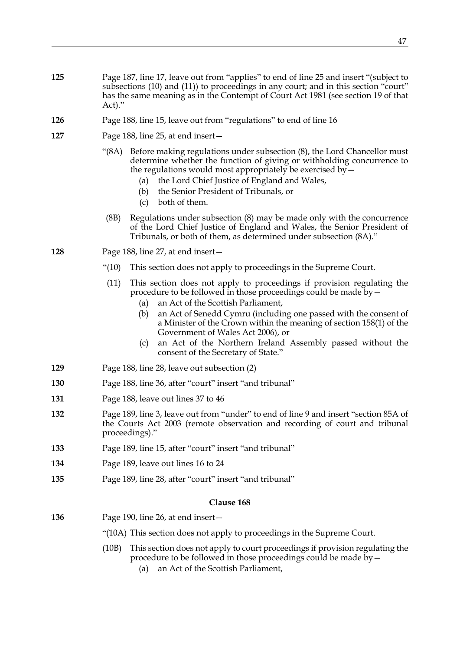- **125** Page 187, line 17, leave out from "applies" to end of line 25 and insert "(subject to subsections (10) and (11)) to proceedings in any court; and in this section "court" has the same meaning as in the Contempt of Court Act 1981 (see section 19 of that Act)."
- **126** Page 188, line 15, leave out from "regulations" to end of line 16
- **127** Page 188, line 25, at end insert—
	- "(8A) Before making regulations under subsection (8), the Lord Chancellor must determine whether the function of giving or withholding concurrence to the regulations would most appropriately be exercised by—
		- (a) the Lord Chief Justice of England and Wales,
		- (b) the Senior President of Tribunals, or
		- (c) both of them.
		- (8B) Regulations under subsection (8) may be made only with the concurrence of the Lord Chief Justice of England and Wales, the Senior President of Tribunals, or both of them, as determined under subsection (8A)."

**128** Page 188, line 27, at end insert—

- "(10) This section does not apply to proceedings in the Supreme Court.
- (11) This section does not apply to proceedings if provision regulating the procedure to be followed in those proceedings could be made by—
	- (a) an Act of the Scottish Parliament,
	- (b) an Act of Senedd Cymru (including one passed with the consent of a Minister of the Crown within the meaning of section 158(1) of the Government of Wales Act 2006), or
	- (c) an Act of the Northern Ireland Assembly passed without the consent of the Secretary of State."
- **129** Page 188, line 28, leave out subsection (2)
- **130** Page 188, line 36, after "court" insert "and tribunal"
- **131** Page 188, leave out lines 37 to 46
- **132** Page 189, line 3, leave out from "under" to end of line 9 and insert "section 85A of the Courts Act 2003 (remote observation and recording of court and tribunal proceedings)."
- **133** Page 189, line 15, after "court" insert "and tribunal"
- **134** Page 189, leave out lines 16 to 24
- **135** Page 189, line 28, after "court" insert "and tribunal"

- **136** Page 190, line 26, at end insert—
	- "(10A) This section does not apply to proceedings in the Supreme Court.
	- (10B) This section does not apply to court proceedings if provision regulating the procedure to be followed in those proceedings could be made  $\bar{b}y$  –
		- (a) an Act of the Scottish Parliament,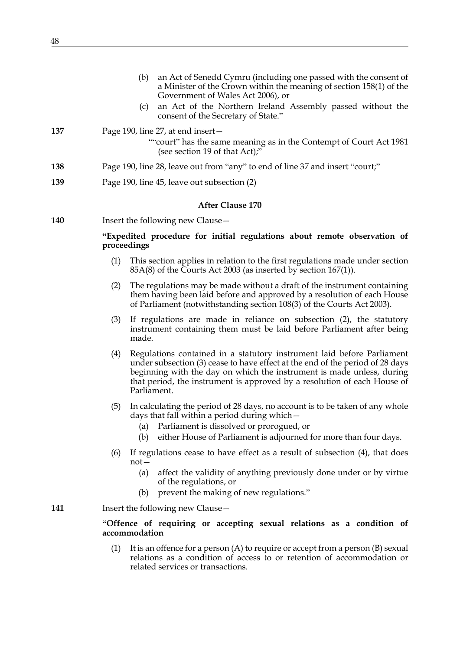<span id="page-47-2"></span><span id="page-47-1"></span><span id="page-47-0"></span>

|     |             | (b)<br>an Act of Senedd Cymru (including one passed with the consent of<br>a Minister of the Crown within the meaning of section 158(1) of the<br>Government of Wales Act 2006), or<br>an Act of the Northern Ireland Assembly passed without the<br>(c)<br>consent of the Secretary of State."                             |
|-----|-------------|-----------------------------------------------------------------------------------------------------------------------------------------------------------------------------------------------------------------------------------------------------------------------------------------------------------------------------|
| 137 |             | Page 190, line 27, at end insert –<br>""court" has the same meaning as in the Contempt of Court Act 1981<br>(see section 19 of that Act);"                                                                                                                                                                                  |
| 138 |             | Page 190, line 28, leave out from "any" to end of line 37 and insert "court;"                                                                                                                                                                                                                                               |
| 139 |             | Page 190, line 45, leave out subsection (2)                                                                                                                                                                                                                                                                                 |
|     |             | <b>After Clause 170</b>                                                                                                                                                                                                                                                                                                     |
| 140 |             | Insert the following new Clause –                                                                                                                                                                                                                                                                                           |
|     | proceedings | "Expedited procedure for initial regulations about remote observation of                                                                                                                                                                                                                                                    |
|     | (1)         | This section applies in relation to the first regulations made under section<br>85A(8) of the Courts Act 2003 (as inserted by section 167(1)).                                                                                                                                                                              |
|     | (2)         | The regulations may be made without a draft of the instrument containing<br>them having been laid before and approved by a resolution of each House<br>of Parliament (notwithstanding section 108(3) of the Courts Act 2003).                                                                                               |
|     | (3)         | If regulations are made in reliance on subsection (2), the statutory<br>instrument containing them must be laid before Parliament after being<br>made.                                                                                                                                                                      |
|     | (4)         | Regulations contained in a statutory instrument laid before Parliament<br>under subsection (3) cease to have effect at the end of the period of 28 days<br>beginning with the day on which the instrument is made unless, during<br>that period, the instrument is approved by a resolution of each House of<br>Parliament. |
|     | (5)         | In calculating the period of 28 days, no account is to be taken of any whole<br>days that fall within a period during which -<br>Parliament is dissolved or prorogued, or<br>(a)<br>either House of Parliament is adjourned for more than four days.<br>(b)                                                                 |
|     | (6)         | If regulations cease to have effect as a result of subsection (4), that does<br>$not-$<br>affect the validity of anything previously done under or by virtue<br>(a)<br>of the regulations, or<br>prevent the making of new regulations."<br>(b)                                                                             |
| 141 |             | Insert the following new Clause -                                                                                                                                                                                                                                                                                           |
|     |             | "Offence of requiring or accepting sexual relations as a condition of<br>accommodation                                                                                                                                                                                                                                      |
|     | (1)         | It is an offence for a person $(A)$ to require or accept from a person $(B)$ sexual<br>relations as a condition of access to or retention of accommodation or<br>related services or transactions.                                                                                                                          |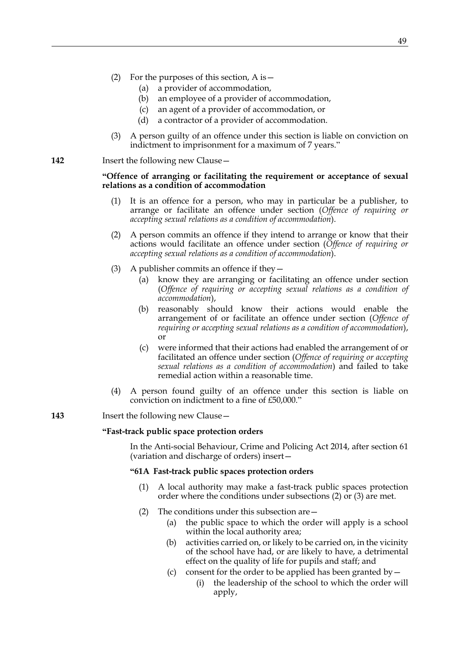- (2) For the purposes of this section, A is  $-$ 
	- (a) a provider of accommodation,
	- (b) an employee of a provider of accommodation,
	- (c) an agent of a provider of accommodation, or
	- (d) a contractor of a provider of accommodation.
- (3) A person guilty of an offence under this section is liable on conviction on indictment to imprisonment for a maximum of 7 years."

**142** Insert the following new Clause -

# **"Offence of arranging or facilitating the requirement or acceptance of sexual relations as a condition of accommodation**

- (1) It is an offence for a person, who may in particular be a publisher, to arrange or facilitate an offence under section (*Offence of requiring or accepting sexual relations as a condition of accommodation*).
- (2) A person commits an offence if they intend to arrange or know that their actions would facilitate an offence under section (*Offence of requiring or accepting sexual relations as a condition of accommodation*).
- (3) A publisher commits an offence if they—
	- (a) know they are arranging or facilitating an offence under section (*Offence of requiring or accepting sexual relations as a condition of accommodation*),
	- (b) reasonably should know their actions would enable the arrangement of or facilitate an offence under section (*Offence of requiring or accepting sexual relations as a condition of accommodation*), or
	- (c) were informed that their actions had enabled the arrangement of or facilitated an offence under section (*Offence of requiring or accepting sexual relations as a condition of accommodation*) and failed to take remedial action within a reasonable time.
- (4) A person found guilty of an offence under this section is liable on conviction on indictment to a fine of £50,000."

# **143** Insert the following new Clause—

#### **"Fast-track public space protection orders**

 In the Anti-social Behaviour, Crime and Policing Act 2014, after section 61 (variation and discharge of orders) insert—

# **"61A Fast-track public spaces protection orders**

- (1) A local authority may make a fast-track public spaces protection order where the conditions under subsections (2) or (3) are met.
- (2) The conditions under this subsection are—
	- (a) the public space to which the order will apply is a school within the local authority area;
	- (b) activities carried on, or likely to be carried on, in the vicinity of the school have had, or are likely to have, a detrimental effect on the quality of life for pupils and staff; and
	- (c) consent for the order to be applied has been granted by  $-$ 
		- (i) the leadership of the school to which the order will apply,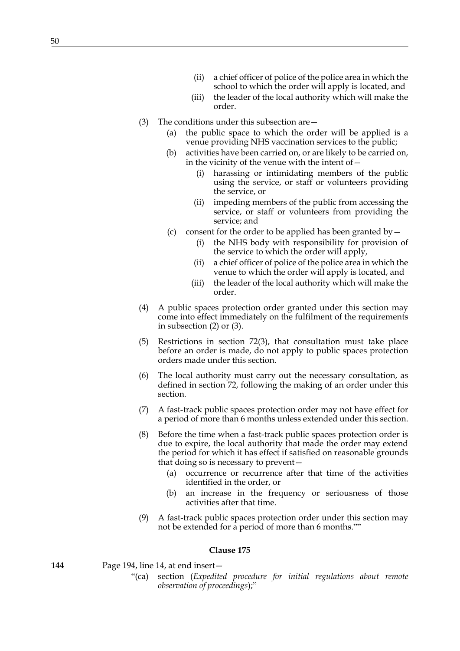- (ii) a chief officer of police of the police area in which the school to which the order will apply is located, and
- (iii) the leader of the local authority which will make the order.
- (3) The conditions under this subsection are—
	- (a) the public space to which the order will be applied is a venue providing NHS vaccination services to the public;
	- (b) activities have been carried on, or are likely to be carried on, in the vicinity of the venue with the intent of—
		- (i) harassing or intimidating members of the public using the service, or staff or volunteers providing the service, or
		- (ii) impeding members of the public from accessing the service, or staff or volunteers from providing the service; and
	- (c) consent for the order to be applied has been granted by  $-$ 
		- (i) the NHS body with responsibility for provision of the service to which the order will apply,
		- (ii) a chief officer of police of the police area in which the venue to which the order will apply is located, and
		- (iii) the leader of the local authority which will make the order.
- (4) A public spaces protection order granted under this section may come into effect immediately on the fulfilment of the requirements in subsection (2) or (3).
- (5) Restrictions in section 72(3), that consultation must take place before an order is made, do not apply to public spaces protection orders made under this section.
- (6) The local authority must carry out the necessary consultation, as defined in section 72, following the making of an order under this section.
- (7) A fast-track public spaces protection order may not have effect for a period of more than 6 months unless extended under this section.
- (8) Before the time when a fast-track public spaces protection order is due to expire, the local authority that made the order may extend the period for which it has effect if satisfied on reasonable grounds that doing so is necessary to prevent—
	- (a) occurrence or recurrence after that time of the activities identified in the order, or
	- (b) an increase in the frequency or seriousness of those activities after that time.
- (9) A fast-track public spaces protection order under this section may not be extended for a period of more than 6 months.""

- **144** Page 194, line 14, at end insert—
	- "(ca) section (*Expedited procedure for initial regulations about remote observation of proceedings*);"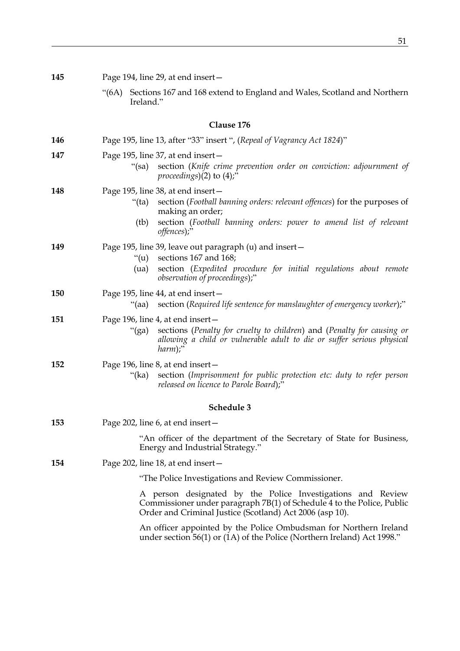| 145        |       | Page 194, line 29, at end insert-                                                                                                                                                                                                      |  |  |
|------------|-------|----------------------------------------------------------------------------------------------------------------------------------------------------------------------------------------------------------------------------------------|--|--|
|            | "(6A) | Sections 167 and 168 extend to England and Wales, Scotland and Northern<br>Ireland."                                                                                                                                                   |  |  |
| Clause 176 |       |                                                                                                                                                                                                                                        |  |  |
| 146        |       | Page 195, line 13, after "33" insert ", (Repeal of Vagrancy Act 1824)"                                                                                                                                                                 |  |  |
| 147        |       | Page 195, line 37, at end insert-<br>section (Knife crime prevention order on conviction: adjournment of<br>"(sa)<br>proceedings) $(2)$ to $(4)$ ;"                                                                                    |  |  |
| 148        |       | Page 195, line 38, at end insert-<br>section (Football banning orders: relevant offences) for the purposes of<br>"(ta)<br>making an order;<br>section (Football banning orders: power to amend list of relevant<br>(tb)<br>offences);" |  |  |
| 149        |       | Page 195, line 39, leave out paragraph (u) and insert -<br>sections 167 and 168;<br>" $(u)$<br>section (Expedited procedure for initial regulations about remote<br>(ua)<br>observation of proceedings);"                              |  |  |
| 150        |       | Page 195, line 44, at end insert-<br>section (Required life sentence for manslaughter of emergency worker);"<br>"(aa)                                                                                                                  |  |  |
| 151        |       | Page 196, line 4, at end insert-<br>sections (Penalty for cruelty to children) and (Penalty for causing or<br>" $(ga)$<br>allowing a child or vulnerable adult to die or suffer serious physical<br>$harm$ );"                         |  |  |
| 152        |       | Page 196, line 8, at end insert-<br>section (Imprisonment for public protection etc: duty to refer person<br>"(ka)<br>released on licence to Parole Board);"                                                                           |  |  |
| Schedule 3 |       |                                                                                                                                                                                                                                        |  |  |
| 153        |       | Page 202, line 6, at end insert –                                                                                                                                                                                                      |  |  |
|            |       | "An officer of the department of the Secretary of State for Business,<br>Energy and Industrial Strategy."                                                                                                                              |  |  |
| 154        |       | Page 202, line 18, at end insert –                                                                                                                                                                                                     |  |  |
|            |       | "The Police Investigations and Review Commissioner.                                                                                                                                                                                    |  |  |
|            |       | A person designated by the Police Investigations and Review<br>Commissioner under paragraph 7B(1) of Schedule 4 to the Police, Public<br>Order and Criminal Justice (Scotland) Act 2006 (asp 10).                                      |  |  |
|            |       | An officer appointed by the Police Ombudsman for Northern Ireland<br>under section $56(1)$ or $(1A)$ of the Police (Northern Ireland) Act 1998."                                                                                       |  |  |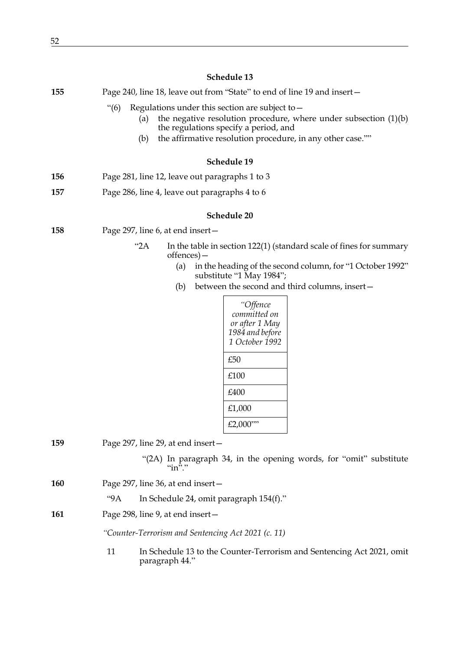# **Schedule 13 155** Page 240, line 18, leave out from "State" to end of line 19 and insert— "(6) Regulations under this section are subject to— (a) the negative resolution procedure, where under subsection  $(1)(b)$ the regulations specify a period, and (b) the affirmative resolution procedure, in any other case."" **Schedule 19 156** Page 281, line 12, leave out paragraphs 1 to 3 **157** Page 286, line 4, leave out paragraphs 4 to 6 **Schedule 20 158** Page 297, line 6, at end insert— "2A In the table in section 122(1) (standard scale of fines for summary offences)— (a) in the heading of the second column, for "1 October 1992" substitute "1 May 1984"; (b) between the second and third columns, insert— **159** Page 297, line 29, at end insert— *"Offence committed on or after 1 May 1984 and before 1 October 1992* £50 £100 £400 £1,000  $£2,000$ ""

"(2A) In paragraph 34, in the opening words, for "omit" substitute " $\mathbf{in}$ "."

- **160** Page 297, line 36, at end insert—
	- "9A In Schedule 24, omit paragraph 154(f)."
- **161** Page 298, line 9, at end insert—

*"Counter-Terrorism and Sentencing Act 2021 (c. 11)*

11 In Schedule 13 to the Counter-Terrorism and Sentencing Act 2021, omit paragraph 44."